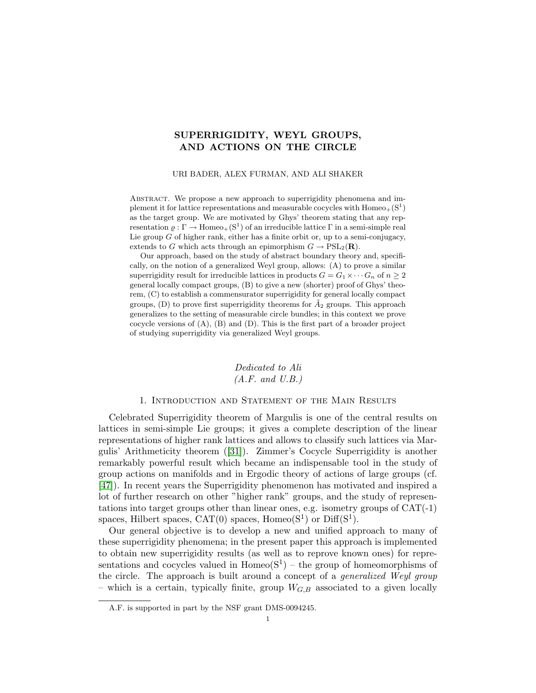# SUPERRIGIDITY, WEYL GROUPS, AND ACTIONS ON THE CIRCLE

URI BADER, ALEX FURMAN, AND ALI SHAKER

Abstract. We propose a new approach to superrigidity phenomena and implement it for lattice representations and measurable cocycles with  $Homeo_+(S^1)$ as the target group. We are motivated by Ghys' theorem stating that any representation  $\varrho : \Gamma \to \text{Homeo}_+(\mathbb{S}^1)$  of an irreducible lattice  $\Gamma$  in a semi-simple real Lie group  $G$  of higher rank, either has a finite orbit or, up to a semi-conjugacy, extends to G which acts through an epimorphism  $G \to \text{PSL}_2(\mathbf{R})$ .

Our approach, based on the study of abstract boundary theory and, specifically, on the notion of a generalized Weyl group, allows: (A) to prove a similar superrigidity result for irreducible lattices in products  $G = G_1 \times \cdots G_n$  of  $n \geq 2$ general locally compact groups, (B) to give a new (shorter) proof of Ghys' theorem, (C) to establish a commensurator superrigidity for general locally compact groups,  $(D)$  to prove first superrigidity theorems for  $A<sub>2</sub>$  groups. This approach generalizes to the setting of measurable circle bundles; in this context we prove cocycle versions of  $(A)$ ,  $(B)$  and  $(D)$ . This is the first part of a broader project of studying superrigidity via generalized Weyl groups.

# Dedicated to Ali  $(A.F. and U.B.)$

#### 1. Introduction and Statement of the Main Results

Celebrated Superrigidity theorem of Margulis is one of the central results on lattices in semi-simple Lie groups; it gives a complete description of the linear representations of higher rank lattices and allows to classify such lattices via Margulis' Arithmeticity theorem([\[31\]](#page-37-0)). Zimmer's Cocycle Superrigidity is another remarkably powerful result which became an indispensable tool in the study of group actions on manifolds and in Ergodic theory of actions of large groups (cf. [\[47\]](#page-37-1)). In recent years the Superrigidity phenomenon has motivated and inspired a lot of further research on other "higher rank" groups, and the study of representations into target groups other than linear ones, e.g. isometry groups of CAT(-1) spaces, Hilbert spaces, CAT(0) spaces, Homeo( $S<sup>1</sup>$ ) or Diff( $S<sup>1</sup>$ ).

Our general objective is to develop a new and unified approach to many of these superrigidity phenomena; in the present paper this approach is implemented to obtain new superrigidity results (as well as to reprove known ones) for representations and cocycles valued in  $Homeo(S^1)$  – the group of homeomorphisms of the circle. The approach is built around a concept of a generalized Weyl group – which is a certain, typically finite, group  $W_{G,B}$  associated to a given locally

A.F. is supported in part by the NSF grant DMS-0094245.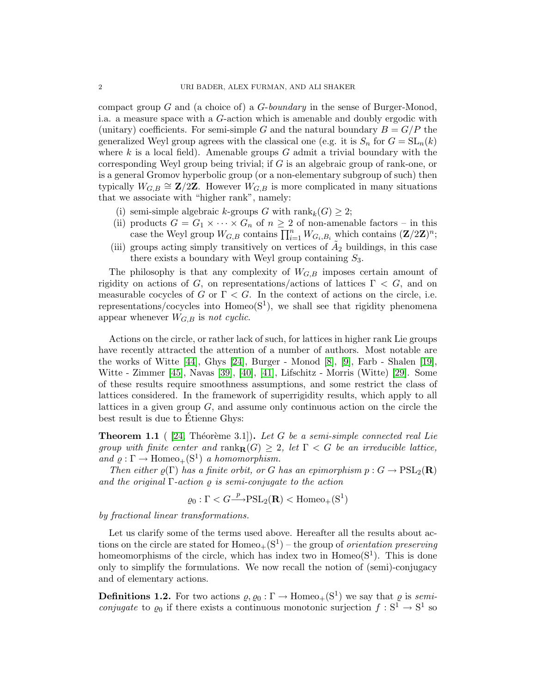compact group G and (a choice of) a  $G$ -boundary in the sense of Burger-Monod, i.a. a measure space with a G-action which is amenable and doubly ergodic with (unitary) coefficients. For semi-simple G and the natural boundary  $B = G/P$  the generalized Weyl group agrees with the classical one (e.g. it is  $S_n$  for  $G = SL_n(k)$ ) where  $k$  is a local field). Amenable groups  $G$  admit a trivial boundary with the corresponding Weyl group being trivial; if G is an algebraic group of rank-one, or is a general Gromov hyperbolic group (or a non-elementary subgroup of such) then typically  $W_{G,B} \cong \mathbf{Z}/2\mathbf{Z}$ . However  $W_{G,B}$  is more complicated in many situations that we associate with "higher rank", namely:

- (i) semi-simple algebraic k-groups G with rank $_k(G) \geq 2$ ;
- (ii) products  $G = G_1 \times \cdots \times G_n$  of  $n \geq 2$  of non-amenable factors in this case the Weyl group  $W_{G,B}$  contains  $\prod_{i=1}^n W_{G_i,B_i}$  which contains  $(\mathbf{Z}/2\mathbf{Z})^n$ ;
- (iii) groups acting simply transitively on vertices of  $A_2$  buildings, in this case there exists a boundary with Weyl group containing  $S_3$ .

The philosophy is that any complexity of  $W_{G,B}$  imposes certain amount of rigidity on actions of G, on representations/actions of lattices  $\Gamma < G$ , and on measurable cocycles of G or  $\Gamma < G$ . In the context of actions on the circle, i.e. representations/cocycles into  $Homeo(S^1)$ , we shall see that rigidity phenomena appear whenever  $W_{G,B}$  is not cyclic.

Actions on the circle, or rather lack of such, for lattices in higher rank Lie groups have recently attracted the attention of a number of authors. Most notable are the works of Witte [\[44\]](#page-37-2), Ghys [\[24\]](#page-36-0), Burger - Monod [\[8\]](#page-36-1), [\[9\]](#page-36-2), Farb - Shalen [\[19\]](#page-36-3), Witte - Zimmer [\[45\]](#page-37-3), Navas [\[39\]](#page-37-4), [\[40\]](#page-37-5), [\[41\]](#page-37-6), Lifschitz - Morris (Witte) [\[29\]](#page-37-7). Some of these results require smoothness assumptions, and some restrict the class of lattices considered. In the framework of superrigidity results, which apply to all lattices in a given group  $G$ , and assume only continuous action on the circle the best result is due to Etienne Ghys:

<span id="page-1-0"></span>**Theorem 1.1** ( [\[24,](#page-36-0) Théorème 3.1]). Let G be a semi-simple connected real Lie group with finite center and  $\operatorname{rank}_{\mathbf{R}}(G) \geq 2$ , let  $\Gamma < G$  be an irreducible lattice, and  $\varrho : \Gamma \to \text{Homeo}_+(\mathbf{S}^1)$  a homomorphism.

Then either  $\rho(\Gamma)$  has a finite orbit, or G has an epimorphism  $p: G \to \text{PSL}_2(\mathbf{R})$ and the original  $\Gamma$ -action  $\rho$  is semi-conjugate to the action

 $\varrho_0: \Gamma < G \xrightarrow{p} \text{PSL}_2(\mathbf{R}) < \text{Homeo}_+(\mathbf{S}^1)$ 

by fractional linear transformations.

Let us clarify some of the terms used above. Hereafter all the results about actions on the circle are stated for  $Homeo_+(S^1)$  – the group of *orientation preserving* homeomorphisms of the circle, which has index two in  $Homeo(S^1)$ . This is done only to simplify the formulations. We now recall the notion of (semi)-conjugacy and of elementary actions.

<span id="page-1-1"></span>**Definitions 1.2.** For two actions  $\rho, \rho_0 : \Gamma \to \text{Homeo}_+(\mathbb{S}^1)$  we say that  $\rho$  is semi*conjugate* to  $\varrho_0$  if there exists a continuous monotonic surjection  $f : S^1 \to S^1$  so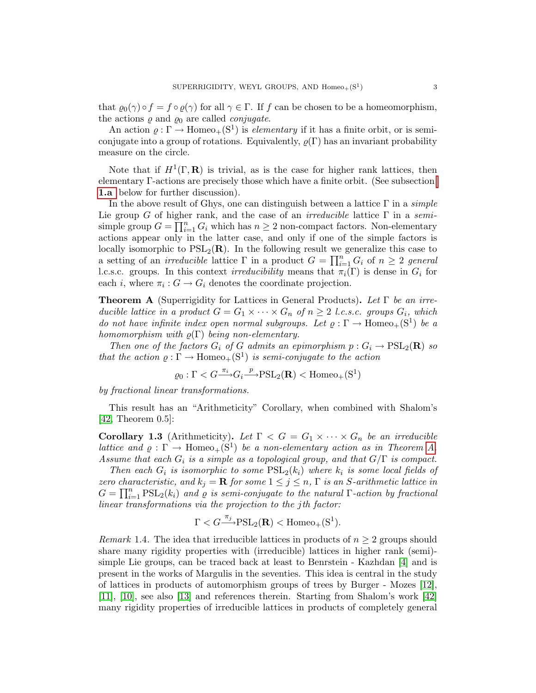that  $\varrho_0(\gamma) \circ f = f \circ \varrho(\gamma)$  for all  $\gamma \in \Gamma$ . If f can be chosen to be a homeomorphism, the actions  $\rho$  and  $\rho_0$  are called *conjugate*.

An action  $\varrho : \Gamma \to \text{Homeo}_+(\mathbb{S}^1)$  is elementary if it has a finite orbit, or is semiconjugate into a group of rotations. Equivalently,  $\rho(\Gamma)$  has an invariant probability measure on the circle.

Note that if  $H^1(\Gamma, \mathbf{R})$  is trivial, as is the case for higher rank lattices, then elementary Γ-actions are precisely those which have a finite orbit. (See subsection [1.a](#page-5-0) below for further discussion).

In the above result of Ghys, one can distinguish between a lattice  $\Gamma$  in a *simple* Lie group G of higher rank, and the case of an *irreducible* lattice  $\Gamma$  in a *semi*simple group  $G = \prod_{i=1}^{n} G_i$  which has  $n \geq 2$  non-compact factors. Non-elementary actions appear only in the latter case, and only if one of the simple factors is locally isomorphic to  $PSL_2(\mathbf{R})$ . In the following result we generalize this case to a setting of an *irreducible* lattice  $\Gamma$  in a product  $G = \prod_{i=1}^{n} G_i$  of  $n \geq 2$  general l.c.s.c. groups. In this context *irreducibility* means that  $\pi_i(\Gamma)$  is dense in  $G_i$  for each *i*, where  $\pi_i : G \to G_i$  denotes the coordinate projection.

<span id="page-2-0"></span>**Theorem A** (Superrigidity for Lattices in General Products). Let  $\Gamma$  be an irreducible lattice in a product  $G = G_1 \times \cdots \times G_n$  of  $n \geq 2$  l.c.s.c. groups  $G_i$ , which do not have infinite index open normal subgroups. Let  $\varrho : \Gamma \to \text{Homeo}_+(\mathbb{S}^1)$  be a homomorphism with  $\rho(\Gamma)$  being non-elementary.

Then one of the factors  $G_i$  of G admits an epimorphism  $p: G_i \to \text{PSL}_2(\mathbf{R})$  so that the action  $\varrho : \Gamma \to \text{Homeo}_+(\mathbb{S}^1)$  is semi-conjugate to the action

$$
\varrho_0: \Gamma < G \xrightarrow{\pi_i} G_i \xrightarrow{p} \text{PSL}_2(\mathbf{R}) < \text{Homeo}_+(\mathbf{S}^1)
$$

by fractional linear transformations.

This result has an "Arithmeticity" Corollary, when combined with Shalom's [\[42,](#page-37-8) Theorem 0.5]:

<span id="page-2-1"></span>**Corollary 1.3** (Arithmeticity). Let  $\Gamma < G = G_1 \times \cdots \times G_n$  be an irreducible lattice and  $\rho : \Gamma \to \text{Homeo}_+(\mathbf{S}^1)$  be a non-elementary action as in Theorem [A.](#page-2-0) Assume that each  $G_i$  is a simple as a topological group, and that  $G/\Gamma$  is compact.

Then each  $G_i$  is isomorphic to some  $PSL_2(k_i)$  where  $k_i$  is some local fields of zero characteristic, and  $k_j = \mathbf{R}$  for some  $1 \leq j \leq n$ ,  $\Gamma$  is an S-arithmetic lattice in  $G = \prod_{i=1}^n \text{PSL}_2(k_i)$  and  $\varrho$  is semi-conjugate to the natural  $\Gamma$ -action by fractional linear transformations via the projection to the jth factor:

$$
\Gamma < G \xrightarrow{\pi_j} \mathrm{PSL}_2(\mathbf{R}) < \mathrm{Homeo}_+(\mathrm{S}^1).
$$

*Remark* 1.4. The idea that irreducible lattices in products of  $n \geq 2$  groups should share many rigidity properties with (irreducible) lattices in higher rank (semi) simple Lie groups, can be traced back at least to Benrstein - Kazhdan [\[4\]](#page-36-4) and is present in the works of Margulis in the seventies. This idea is central in the study of lattices in products of automorphism groups of trees by Burger - Mozes [\[12\]](#page-36-5), [\[11\]](#page-36-6), [\[10\]](#page-36-7), see also [\[13\]](#page-36-8) and references therein. Starting from Shalom's work [\[42\]](#page-37-8) many rigidity properties of irreducible lattices in products of completely general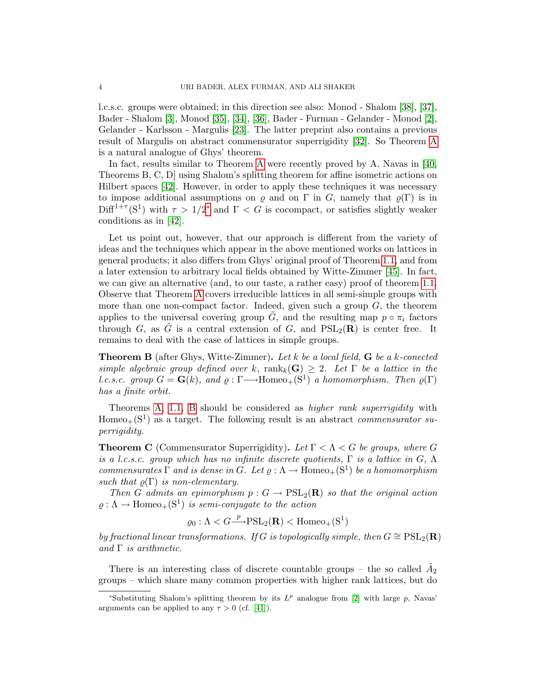l.c.s.c. groups were obtained; in this direction see also: Monod - Shalom [\[38\]](#page-37-9), [\[37\]](#page-37-10), Bader - Shalom [\[3\]](#page-36-9), Monod [\[35\]](#page-37-11), [\[34\]](#page-37-12), [\[36\]](#page-37-13), Bader - Furman - Gelander - Monod [\[2\]](#page-35-0), Gelander - Karlsson - Margulis [\[23\]](#page-36-10). The latter preprint also contains a previous result of Margulis on abstract commensurator superrigidity [\[32\]](#page-37-14). So Theorem [A](#page-2-0) is a natural analogue of Ghys' theorem.

In fact, results similar to Theorem [A](#page-2-0) were recently proved by A. Navas in [\[40,](#page-37-5) Theorems B, C, D] using Shalom's splitting theorem for affine isometric actions on Hilbert spaces [\[42\]](#page-37-8). However, in order to apply these techniques it was necessary to impose additional assumptions on  $\rho$  and on  $\Gamma$  in G, namely that  $\rho(\Gamma)$  is in  $Diff^{1+\tau}(S^1)$  with  $\tau > 1/2^*$  and  $\Gamma < G$  is cocompact, or satisfies slightly weaker conditions as in [\[42\]](#page-37-8).

Let us point out, however, that our approach is different from the variety of ideas and the techniques which appear in the above mentioned works on lattices in general products; it also differs from Ghys' original proof of Theorem [1.1,](#page-1-0) and from a later extension to arbitrary local fields obtained by Witte-Zimmer [\[45\]](#page-37-3). In fact, we can give an alternative (and, to our taste, a rather easy) proof of theorem [1.1.](#page-1-0) Observe that Theorem [A](#page-2-0) covers irreducible lattices in all semi-simple groups with more than one non-compact factor. Indeed, given such a group  $G$ , the theorem applies to the universal covering group  $\tilde{G}$ , and the resulting map  $p \circ \pi_i$  factors through G, as  $\tilde{G}$  is a central extension of G, and  $PSL_2(\mathbf{R})$  is center free. It remains to deal with the case of lattices in simple groups.

<span id="page-3-1"></span>Theorem B (after Ghys, Witte-Zimmer). Let k be a local field, G be a k-conected simple algebraic group defined over k,  $rank_k(G) \geq 2$ . Let  $\Gamma$  be a lattice in the *l.c.s.c.* group  $G = G(k)$ , and  $\varrho : \Gamma \longrightarrow \text{Homeo}_+(S^1)$  a homomorphism. Then  $\varrho(\Gamma)$ has a finite orbit.

Theorems [A,](#page-2-0) [1.1,](#page-1-0) [B](#page-3-1) should be considered as higher rank superrigidity with Homeo<sub>+</sub> $(S<sup>1</sup>)$  as a target. The following result is an abstract *commensurator su*perrigidity.

<span id="page-3-2"></span>**Theorem C** (Commensurator Superrigidity). Let  $\Gamma < \Lambda < G$  be groups, where G is a l.c.s.c. group which has no infinite discrete quotients,  $\Gamma$  is a lattice in  $G$ ,  $\Lambda$ commensurates  $\Gamma$  and is dense in G. Let  $\varrho : \Lambda \to \text{Homeo}_+(\mathbb{S}^1)$  be a homomorphism such that  $\rho(\Gamma)$  is non-elementary.

Then G admits an epimorphism  $p: G \to \text{PSL}_2(\mathbf{R})$  so that the original action  $\rho : \Lambda \to \text{Homeo}_+(\mathbf{S}^1)$  is semi-conjugate to the action

 $\varrho_0: \Lambda < G \xrightarrow{p} \text{PSL}_2(\mathbf{R}) < \text{Homeo}_+(\mathbf{S}^1)$ 

by fractional linear transformations. If G is topologically simple, then  $G \cong \mathrm{PSL}_2(\mathbf{R})$ and  $\Gamma$  is arithmetic.

There is an interesting class of discrete countable groups – the so called  $\tilde{A}_2$ groups – which share many common properties with higher rank lattices, but do

<span id="page-3-0"></span><sup>\*</sup>Substituting Shalom's splitting theorem by its  $L^p$  analogue from [\[2\]](#page-35-0) with large p, Navas' arguments can be applied to any  $\tau > 0$  (cf. [\[41\]](#page-37-6)).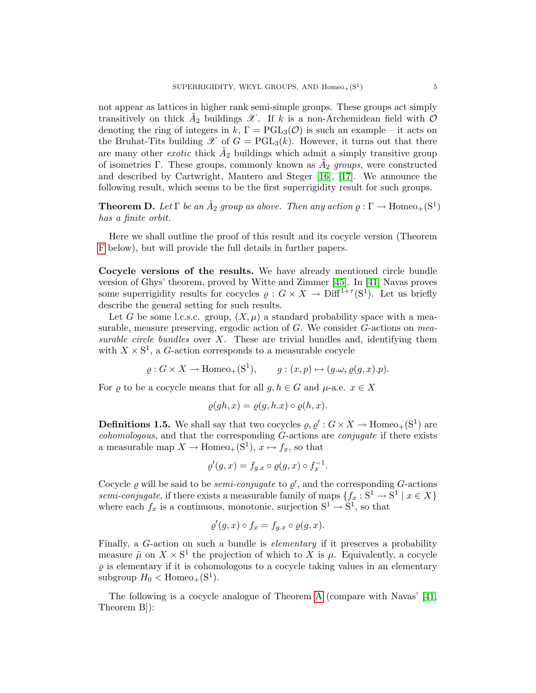not appear as lattices in higher rank semi-simple groups. These groups act simply transitively on thick  $\tilde{A}_2$  buildings  $\mathscr{X}$ . If k is a non-Archemidean field with  $\mathcal O$ denoting the ring of integers in k,  $\Gamma = \text{PGL}_3(\mathcal{O})$  is such an example – it acts on the Bruhat-Tits building  $\mathscr X$  of  $G = \mathrm{PGL}_3(k)$ . However, it turns out that there are many other *exotic* thick  $\tilde{A}_2$  buildings which admit a simply transitive group of isometries Γ. These groups, commonly known as  $\tilde{A}_2$  groups, were constructed and described by Cartwright, Mantero and Steger [\[16\]](#page-36-11), [\[17\]](#page-36-12). We announce the following result, which seems to be the first superrigidity result for such groups.

<span id="page-4-1"></span>**Theorem D.** Let  $\Gamma$  be an  $\tilde{A}_2$  group as above. Then any action  $\varrho : \Gamma \to \text{Homeo}_+(\mathbb{S}^1)$ has a finite orbit.

Here we shall outline the proof of this result and its cocycle version (Theorem [F](#page-5-1) below), but will provide the full details in further papers.

Cocycle versions of the results. We have already mentioned circle bundle version of Ghys' theorem, proved by Witte and Zimmer [\[45\]](#page-37-3). In [\[41\]](#page-37-6) Navas proves some superrigidity results for cocycles  $\varrho: G \times X \to \text{Diff}^{1+\tau}(S^1)$ . Let us briefly describe the general setting for such results.

Let G be some l.c.s.c. group,  $(X, \mu)$  a standard probability space with a measurable, measure preserving, ergodic action of  $G$ . We consider  $G$ -actions on measurable circle bundles over  $X$ . These are trivial bundles and, identifying them with  $X \times S^1$ , a G-action corresponds to a measurable cocycle

$$
\varrho: G \times X \to \text{Homeo}_+(\mathbb{S}^1), \qquad g: (x, p) \mapsto (g.\omega, \varrho(g, x).p).
$$

For  $\varrho$  to be a cocycle means that for all  $g, h \in G$  and  $\mu$ -a.e.  $x \in X$ 

$$
\varrho(gh, x) = \varrho(g, h.x) \circ \varrho(h, x).
$$

**Definitions 1.5.** We shall say that two cocycles  $\varrho, \varrho' : G \times X \to \text{Homeo}_+(\mathbb{S}^1)$  are cohomologous, and that the corresponding G-actions are conjugate if there exists a measurable map  $X \to \text{Homeo}_+(\mathbb{S}^1)$ ,  $x \mapsto f_x$ , so that

$$
\varrho'(g,x) = f_{g.x} \circ \varrho(g,x) \circ f_x^{-1}.
$$

Cocycle  $\varrho$  will be said to be *semi-conjugate* to  $\varrho'$ , and the corresponding *G*-actions *semi-conjugate*, if there exists a measurable family of maps  $\{f_x : S^1 \to S^1 \mid x \in X\}$ where each  $f_x$  is a continuous, monotonic, surjection  $S^1 \to S^1$ , so that

$$
\varrho'(g,x)\circ f_x = f_{g.x} \circ \varrho(g,x).
$$

Finally, a G-action on such a bundle is *elementary* if it preserves a probability measure  $\tilde{\mu}$  on  $X \times S^1$  the projection of which to X is  $\mu$ . Equivalently, a cocycle  $\rho$  is elementary if it is cohomologous to a cocycle taking values in an elementary subgroup  $H_0 <$  Homeo<sub>+</sub>(S<sup>1</sup>).

<span id="page-4-0"></span>The following is a cocycle analogue of Theorem [A](#page-2-0) (compare with Navas' [\[41,](#page-37-6) Theorem B]):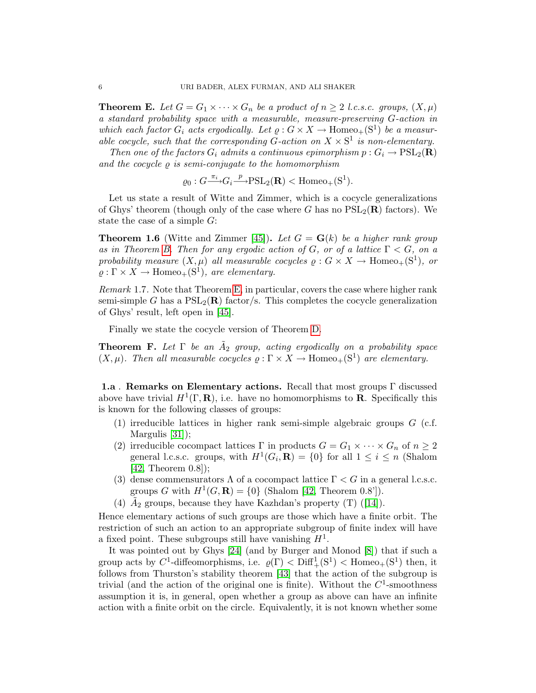**Theorem E.** Let  $G = G_1 \times \cdots \times G_n$  be a product of  $n \geq 2$  l.c.s.c. groups,  $(X, \mu)$ a standard probability space with a measurable, measure-preserving G-action in which each factor  $G_i$  acts ergodically. Let  $\varrho: G \times X \to \text{Homeo}_+(\mathbb{S}^1)$  be a measurable cocycle, such that the corresponding G-action on  $X \times S^1$  is non-elementary.

Then one of the factors  $G_i$  admits a continuous epimorphism  $p: G_i \to \text{PSL}_2(\mathbf{R})$ and the cocycle  $\rho$  is semi-conjugate to the homomorphism

 $\varrho_0: G \xrightarrow{\pi_i} G_i \xrightarrow{p} \text{PSL}_2(\mathbf{R}) < \text{Homeo}_+(\mathbf{S}^1).$ 

Let us state a result of Witte and Zimmer, which is a cocycle generalizations of Ghys' theorem (though only of the case where G has no  $PSL_2(\mathbf{R})$  factors). We state the case of a simple  $G$ :

<span id="page-5-2"></span>**Theorem 1.6** (Witte and Zimmer [\[45\]](#page-37-3)). Let  $G = G(k)$  be a higher rank group as in Theorem [B.](#page-3-1) Then for any ergodic action of G, or of a lattice  $\Gamma < G$ , on a probability measure  $(X, \mu)$  all measurable cocycles  $\rho : G \times X \to \text{Homeo}_+(\mathbb{S}^1)$ , or  $\rho : \Gamma \times X \to \text{Homeo}_+(\mathbf{S}^1)$ , are elementary.

Remark 1.7. Note that Theorem [E,](#page-4-0) in particular, covers the case where higher rank semi-simple G has a  $PSL_2(\mathbf{R})$  factor/s. This completes the cocycle generalization of Ghys' result, left open in [\[45\]](#page-37-3).

Finally we state the cocycle version of Theorem [D.](#page-4-1)

<span id="page-5-1"></span>**Theorem F.** Let  $\Gamma$  be an  $\tilde{A}_2$  group, acting ergodically on a probability space  $(X, \mu)$ . Then all measurable cocycles  $\rho : \Gamma \times X \to \text{Homeo}_+(\mathbb{S}^1)$  are elementary.

<span id="page-5-0"></span>1.a . Remarks on Elementary actions. Recall that most groups Γ discussed above have trivial  $H^1(\Gamma, \mathbf{R})$ , i.e. have no homomorphisms to **R**. Specifically this is known for the following classes of groups:

- (1) irreducible lattices in higher rank semi-simple algebraic groups G (c.f. Margulis [\[31\]](#page-37-0));
- (2) irreducible cocompact lattices  $\Gamma$  in products  $G = G_1 \times \cdots \times G_n$  of  $n \geq 2$ general l.c.s.c. groups, with  $H^1(G_i, \mathbf{R}) = \{0\}$  for all  $1 \leq i \leq n$  (Shalom [\[42,](#page-37-8) Theorem 0.8]);
- (3) dense commensurators  $\Lambda$  of a cocompact lattice  $\Gamma < G$  in a general l.c.s.c. groups G with  $H^1(G,\mathbf{R}) = \{0\}$  (Shalom [\[42,](#page-37-8) Theorem 0.8']).
- (4) $\tilde{A}_2$  groups, because they have Kazhdan's property (T) ([\[14\]](#page-36-13)).

Hence elementary actions of such groups are those which have a finite orbit. The restriction of such an action to an appropriate subgroup of finite index will have a fixed point. These subgroups still have vanishing  $H^1$ .

It was pointed out by Ghys [\[24\]](#page-36-0) (and by Burger and Monod [\[8\]](#page-36-1)) that if such a group acts by  $C^1$ -diffeomorphisms, i.e.  $\varrho(\Gamma) < \text{Diff}^1_+(\mathbf{S}^1) < \text{Homeo}_+(\mathbf{S}^1)$  then, it follows from Thurston's stability theorem [\[43\]](#page-37-15) that the action of the subgroup is trivial (and the action of the original one is finite). Without the  $C^1$ -smoothness assumption it is, in general, open whether a group as above can have an infinite action with a finite orbit on the circle. Equivalently, it is not known whether some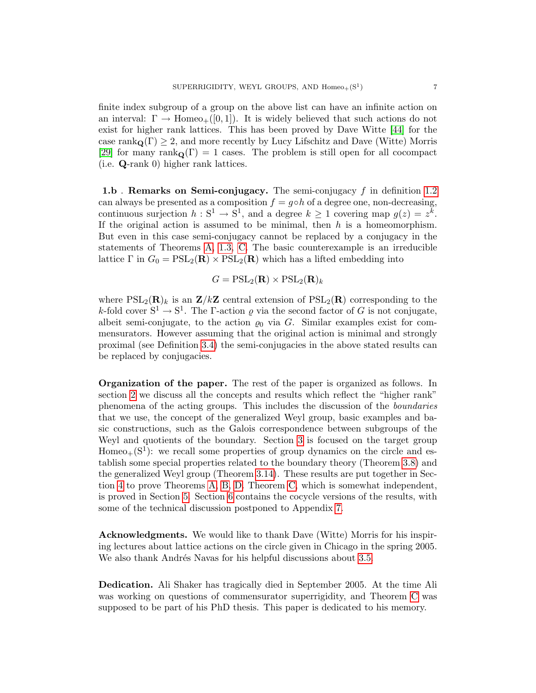finite index subgroup of a group on the above list can have an infinite action on an interval:  $\Gamma \to \text{Homeo}_+(\{0,1\})$ . It is widely believed that such actions do not exist for higher rank lattices. This has been proved by Dave Witte [\[44\]](#page-37-2) for the case rank $\mathbf{Q}(\Gamma) \geq 2$ , and more recently by Lucy Lifschitz and Dave (Witte) Morris [\[29\]](#page-37-7) for many rank $_{\mathbf{Q}}(\Gamma) = 1$  cases. The problem is still open for all cocompact (i.e. Q-rank 0) higher rank lattices.

1.b . Remarks on Semi-conjugacy. The semi-conjugacy f in definition [1.2](#page-1-1) can always be presented as a composition  $f = g \circ h$  of a degree one, non-decreasing, continuous surjection  $h: S^1 \to S^1$ , and a degree  $k \geq 1$  covering map  $g(z) = z^k$ . If the original action is assumed to be minimal, then  $h$  is a homeomorphism. But even in this case semi-conjugacy cannot be replaced by a conjugacy in the statements of Theorems [A,](#page-2-0) [1.3,](#page-2-1) [C.](#page-3-2) The basic counterexample is an irreducible lattice Γ in  $G_0 = \text{PSL}_2(\mathbf{R}) \times \text{PSL}_2(\mathbf{R})$  which has a lifted embedding into

$$
G = \mathrm{PSL}_2(\mathbf{R}) \times \mathrm{PSL}_2(\mathbf{R})_k
$$

where  $PSL_2(\mathbf{R})_k$  is an  $\mathbf{Z}/k\mathbf{Z}$  central extension of  $PSL_2(\mathbf{R})$  corresponding to the k-fold cover  $S^1 \to S^1$ . The  $\Gamma$ -action  $\varrho$  via the second factor of G is not conjugate, albeit semi-conjugate, to the action  $\rho_0$  via G. Similar examples exist for commensurators. However assuming that the original action is minimal and strongly proximal (see Definition [3.4\)](#page-16-0) the semi-conjugacies in the above stated results can be replaced by conjugacies.

Organization of the paper. The rest of the paper is organized as follows. In section [2](#page-7-0) we discuss all the concepts and results which reflect the "higher rank" phenomena of the acting groups. This includes the discussion of the boundaries that we use, the concept of the generalized Weyl group, basic examples and basic constructions, such as the Galois correspondence between subgroups of the Weyl and quotients of the boundary. Section [3](#page-16-1) is focused on the target group  $Homeo_+(S^1)$ : we recall some properties of group dynamics on the circle and establish some special properties related to the boundary theory (Theorem [3.8\)](#page-18-0) and the generalized Weyl group (Theorem [3.14\)](#page-21-0). These results are put together in Section [4](#page-23-0) to prove Theorems [A,](#page-2-0) [B,](#page-3-1) [D.](#page-4-1) Theorem [C,](#page-3-2) which is somewhat independent, is proved in Section [5.](#page-25-0) Section [6](#page-27-0) contains the cocycle versions of the results, with some of the technical discussion postponed to Appendix [7.](#page-32-0)

Acknowledgments. We would like to thank Dave (Witte) Morris for his inspiring lectures about lattice actions on the circle given in Chicago in the spring 2005. We also thank Andrés Navas for his helpful discussions about [3.5.](#page-17-0)

Dedication. Ali Shaker has tragically died in September 2005. At the time Ali was working on questions of commensurator superrigidity, and Theorem [C](#page-3-2) was supposed to be part of his PhD thesis. This paper is dedicated to his memory.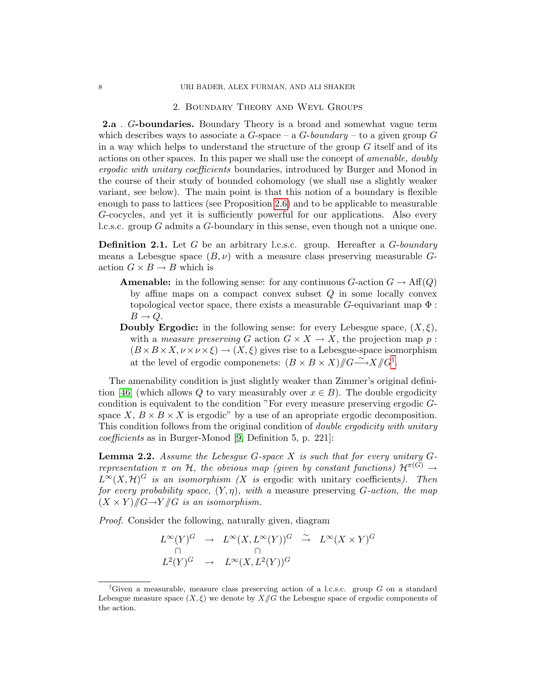## 2. Boundary Theory and Weyl Groups

<span id="page-7-0"></span>2.a . G-boundaries. Boundary Theory is a broad and somewhat vague term which describes ways to associate a  $G$ -space – a  $G$ -boundary – to a given group  $G$ in a way which helps to understand the structure of the group  $G$  itself and of its actions on other spaces. In this paper we shall use the concept of amenable, doubly ergodic with unitary coefficients boundaries, introduced by Burger and Monod in the course of their study of bounded cohomology (we shall use a slightly weaker variant, see below). The main point is that this notion of a boundary is flexible enough to pass to lattices (see Proposition [2.6\)](#page-8-0) and to be applicable to measurable G-cocycles, and yet it is sufficiently powerful for our applications. Also every l.c.s.c. group G admits a G-boundary in this sense, even though not a unique one.

**Definition 2.1.** Let G be an arbitrary l.c.s.c. group. Hereafter a  $G$ -boundary means a Lebesgue space  $(B, \nu)$  with a measure class preserving measurable Gaction  $G \times B \to B$  which is

- **Amenable:** in the following sense: for any continuous  $G$ -action  $G \to Aff(Q)$ by affine maps on a compact convex subset  $Q$  in some locally convex topological vector space, there exists a measurable G-equivariant map  $\Phi$ :  $B \to Q$ .
- **Doubly Ergodic:** in the following sense: for every Lebesgue space,  $(X, \xi)$ , with a *measure preserving* G action  $G \times X \to X$ , the projection map p:  $(B \times B \times X, \nu \times \nu \times \xi) \rightarrow (X, \xi)$  gives rise to a Lebesgue-space isomorphism at the level of ergodic componenets:  $(B \times B \times X)/\sqrt[G]{\sim} X/\!\!/ G^{\dagger}$ .

The amenability condition is just slightly weaker than Zimmer's original defini-tion [\[46\]](#page-37-16) (which allows Q to vary measurably over  $x \in B$ ). The double ergodicity condition is equivalent to the condition "For every measure preserving ergodic Gspace X,  $B \times B \times X$  is ergodic" by a use of an apropriate ergodic decomposition. This condition follows from the original condition of *double ergodicity with unitary* coefficients as in Burger-Monod [\[9,](#page-36-2) Definition 5, p. 221]:

<span id="page-7-2"></span>**Lemma 2.2.** Assume the Lebesgue G-space X is such that for every unitary  $G$ representation  $\pi$  on H, the obvious map (given by constant functions)  $\mathcal{H}^{\pi(G)} \rightarrow$  $L^{\infty}(X,\mathcal{H})^G$  is an isomorphism (X is ergodic with unitary coefficients). Then for every probability space,  $(Y, \eta)$ , with a measure preserving G-action, the map  $(X \times Y)/\!\!/ G \rightarrow Y/\!\!/ G$  is an isomorphism.

Proof. Consider the following, naturally given, diagram

$$
L^{\infty}(Y)^G \rightarrow L^{\infty}(X, L^{\infty}(Y))^G \stackrel{\sim}{\rightarrow} L^{\infty}(X \times Y)^G
$$
  

$$
\bigcap_{L^2(Y)^G} \cap L^{\infty}(X, L^2(Y))^G
$$

<span id="page-7-1"></span><sup>&</sup>lt;sup>†</sup>Given a measurable, measure class preserving action of a l.c.s.c. group G on a standard Lebesgue measure space  $(X, \xi)$  we denote by  $X/\!\!/ G$  the Lebesgue space of ergodic components of the action.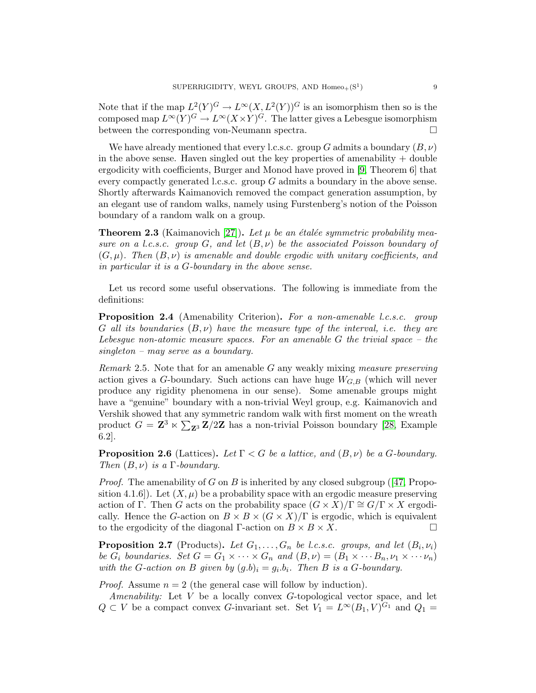Note that if the map  $L^2(Y)^G \to L^\infty(X, L^2(Y))^G$  is an isomorphism then so is the composed map  $L^{\infty}(Y)^G \to L^{\infty}(X \times Y)^G$ . The latter gives a Lebesgue isomorphism between the corresponding von-Neumann spectra.

We have already mentioned that every l.c.s.c. group G admits a boundary  $(B, \nu)$ in the above sense. Haven singled out the key properties of amenability  $+$  double ergodicity with coefficients, Burger and Monod have proved in [\[9,](#page-36-2) Theorem 6] that every compactly generated l.c.s.c. group G admits a boundary in the above sense. Shortly afterwards Kaimanovich removed the compact generation assumption, by an elegant use of random walks, namely using Furstenberg's notion of the Poisson boundary of a random walk on a group.

<span id="page-8-1"></span>**Theorem 2.3** (Kaimanovich [\[27\]](#page-36-14)). Let  $\mu$  be an étalée symmetric probability measure on a l.c.s.c. group  $G$ , and let  $(B, \nu)$  be the associated Poisson boundary of  $(G, \mu)$ . Then  $(B, \nu)$  is amenable and double ergodic with unitary coefficients, and in particular it is a G-boundary in the above sense.

Let us record some useful observations. The following is immediate from the definitions:

Proposition 2.4 (Amenability Criterion). For a non-amenable l.c.s.c. group G all its boundaries  $(B, \nu)$  have the measure type of the interval, i.e. they are Lebesgue non-atomic measure spaces. For an amenable G the trivial space – the singleton – may serve as a boundary.

*Remark* 2.5. Note that for an amenable  $G$  any weakly mixing *measure preserving* action gives a G-boundary. Such actions can have huge  $W_{G,B}$  (which will never produce any rigidity phenomena in our sense). Some amenable groups might have a "genuine" boundary with a non-trivial Weyl group, e.g. Kaimanovich and Vershik showed that any symmetric random walk with first moment on the wreath product  $G = \mathbf{Z}^3 \ltimes \sum_{\mathbf{Z}^3} \mathbf{Z}/2\mathbf{Z}$  has a non-trivial Poisson boundary [\[28,](#page-37-17) Example 6.2].

<span id="page-8-0"></span>**Proposition 2.6** (Lattices). Let  $\Gamma < G$  be a lattice, and  $(B, \nu)$  be a G-boundary. Then  $(B, \nu)$  is a  $\Gamma$ -boundary.

*Proof.*The amenability of G on B is inherited by any closed subgroup ([\[47,](#page-37-1) Proposition 4.1.6]). Let  $(X, \mu)$  be a probability space with an ergodic measure preserving action of Γ. Then G acts on the probability space  $(G \times X)/\Gamma \cong G/\Gamma \times X$  ergodically. Hence the G-action on  $B \times B \times (G \times X)/\Gamma$  is ergodic, which is equivalent to the ergodicity of the diagonal Γ-action on  $B \times B \times X$ .

<span id="page-8-2"></span>**Proposition 2.7** (Products). Let  $G_1, \ldots, G_n$  be l.c.s.c. groups, and let  $(B_i, \nu_i)$ be  $G_i$  boundaries. Set  $G = G_1 \times \cdots \times G_n$  and  $(B, \nu) = (B_1 \times \cdots B_n, \nu_1 \times \cdots \nu_n)$ with the G-action on B given by  $(g.b)_i = g_i.b_i$ . Then B is a G-boundary.

*Proof.* Assume  $n = 2$  (the general case will follow by induction).

Amenability: Let V be a locally convex G-topological vector space, and let  $Q \subset V$  be a compact convex G-invariant set. Set  $V_1 = L^{\infty}(B_1, V)^{G_1}$  and  $Q_1 =$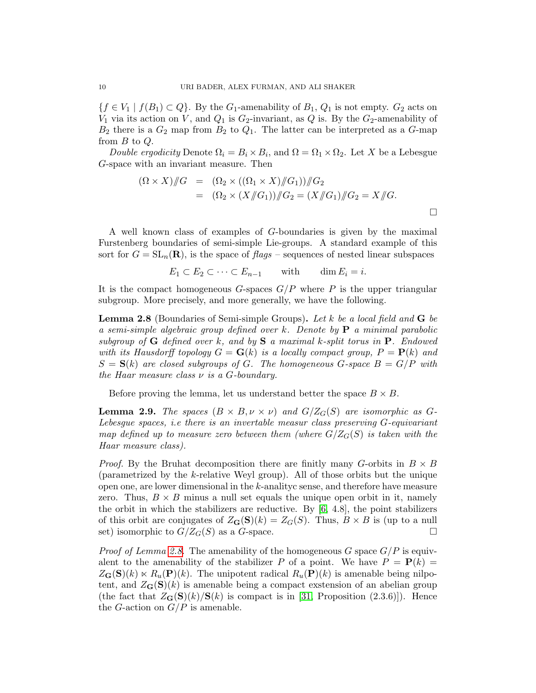${f \in V_1 \mid f(B_1) \subset Q}$ . By the  $G_1$ -amenability of  $B_1, Q_1$  is not empty.  $G_2$  acts on  $V_1$  via its action on V, and  $Q_1$  is  $G_2$ -invariant, as Q is. By the  $G_2$ -amenability of  $B_2$  there is a  $G_2$  map from  $B_2$  to  $Q_1$ . The latter can be interpreted as a G-map from  $B$  to  $Q$ .

Double ergodicity Denote  $\Omega_i = B_i \times B_i$ , and  $\Omega = \Omega_1 \times \Omega_2$ . Let X be a Lebesgue G-space with an invariant measure. Then

$$
(\Omega \times X)/G = (\Omega_2 \times ((\Omega_1 \times X)/G_1))/G_2
$$
  
= 
$$
(\Omega_2 \times (X/\!\!/G_1))/G_2 = (X/\!\!/G_1)/G_2 = X/\!\!/G.
$$

A well known class of examples of G-boundaries is given by the maximal Furstenberg boundaries of semi-simple Lie-groups. A standard example of this sort for  $G = SL_n(\mathbf{R})$ , is the space of flags – sequences of nested linear subspaces

$$
E_1 \subset E_2 \subset \cdots \subset E_{n-1} \quad \text{with} \quad \dim E_i = i.
$$

It is the compact homogeneous G-spaces  $G/P$  where P is the upper triangular subgroup. More precisely, and more generally, we have the following.

<span id="page-9-0"></span>**Lemma 2.8** (Boundaries of Semi-simple Groups). Let k be a local field and  $\bf{G}$  be a semi-simple algebraic group defined over  $k$ . Denote by  $P$  a minimal parabolic subgroup of  $G$  defined over k, and by  $S$  a maximal k-split torus in  $P$ . Endowed with its Hausdorff topology  $G = G(k)$  is a locally compact group,  $P = P(k)$  and  $S = S(k)$  are closed subgroups of G. The homogeneous G-space  $B = G/P$  with the Haar measure class  $\nu$  is a G-boundary.

Before proving the lemma, let us understand better the space  $B \times B$ .

<span id="page-9-1"></span>**Lemma 2.9.** The spaces  $(B \times B, \nu \times \nu)$  and  $G/Z<sub>G</sub>(S)$  are isomorphic as G-Lebesgue spaces, i.e there is an invertable measur class preserving G-equivariant map defined up to measure zero between them (where  $G/Z_G(S)$ ) is taken with the Haar measure class).

*Proof.* By the Bruhat decomposition there are finitly many G-orbits in  $B \times B$ (parametrized by the k-relative Weyl group). All of those orbits but the unique open one, are lower dimensional in the k-analityc sense, and therefore have measure zero. Thus,  $B \times B$  minus a null set equals the unique open orbit in it, namely the orbit in which the stabilizers are reductive. By [\[6,](#page-36-15) 4.8], the point stabilizers of this orbit are conjugates of  $Z_{\mathbf{G}}(\mathbf{S})(k) = Z_{G}(S)$ . Thus,  $B \times B$  is (up to a null set) isomorphic to  $G/Z_G(S)$  as a G-space.

*Proof of Lemma [2.8.](#page-9-0)* The amenability of the homogeneous G space  $G/P$  is equivalent to the amenability of the stabilizer P of a point. We have  $P = P(k)$  $Z_{\mathbf{G}}(\mathbf{S})(k) \ltimes R_u(\mathbf{P})(k)$ . The unipotent radical  $R_u(\mathbf{P})(k)$  is amenable being nilpotent, and  $Z_{\mathbf{G}}(\mathbf{S})(k)$  is amenable being a compact exstension of an abelian group (the fact that  $Z_{\mathbf{G}}(\mathbf{S})(k)/\mathbf{S}(k)$  is compact is in [\[31,](#page-37-0) Proposition (2.3.6)]). Hence the G-action on  $G/P$  is amenable.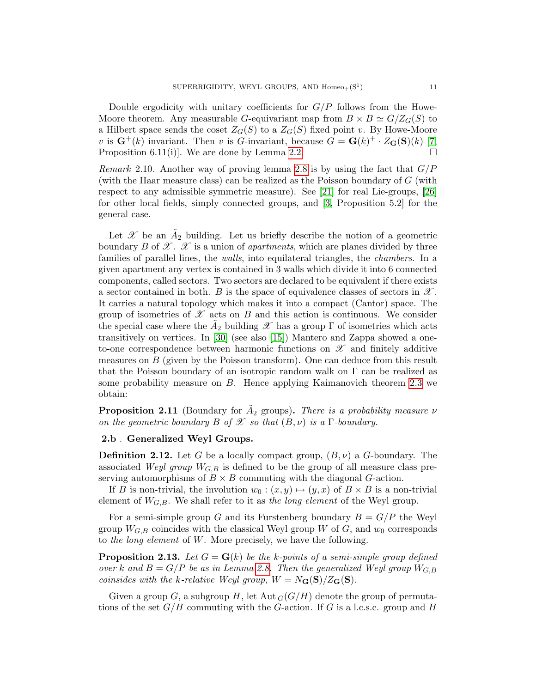Double ergodicity with unitary coefficients for  $G/P$  follows from the Howe-Moore theorem. Any measurable G-equivariant map from  $B \times B \simeq G/Z_G(S)$  to a Hilbert space sends the coset  $Z_G(S)$  to a  $Z_G(S)$  fixed point v. By Howe-Moore v is  $\mathbf{G}^+(k)$  invariant. Then v is G-invariant, because  $G = \mathbf{G}(k)^+ \cdot Z_{\mathbf{G}}(\mathbf{S})(k)$  [\[7,](#page-36-16) Proposition 6.11(i). We are done by Lemma [2.2.](#page-7-2)

Remark 2.10. Another way of proving lemma [2.8](#page-9-0) is by using the fact that  $G/P$ (with the Haar measure class) can be realized as the Poisson boundary of G (with respect to any admissible symmetric measure). See [\[21\]](#page-36-17) for real Lie-groups, [\[26\]](#page-36-18) for other local fields, simply connected groups, and [\[3,](#page-36-9) Proposition 5.2] for the general case.

Let  $\mathscr X$  be an  $\tilde A_2$  building. Let us briefly describe the notion of a geometric boundary B of  $\mathscr X$ .  $\mathscr X$  is a union of *apartments*, which are planes divided by three families of parallel lines, the walls, into equilateral triangles, the chambers. In a given apartment any vertex is contained in 3 walls which divide it into 6 connected components, called sectors. Two sectors are declared to be equivalent if there exists a sector contained in both. B is the space of equivalence classes of sectors in  $\mathscr{X}$ . It carries a natural topology which makes it into a compact (Cantor) space. The group of isometries of  $\mathscr X$  acts on  $B$  and this action is continuous. We consider the special case where the  $\tilde{A}_2$  building  $\mathscr X$  has a group  $\Gamma$  of isometries which acts transitively on vertices. In [\[30\]](#page-37-18) (see also [\[15\]](#page-36-19)) Mantero and Zappa showed a oneto-one correspondence between harmonic functions on  $\mathscr X$  and finitely additive measures on  $B$  (given by the Poisson transform). One can deduce from this result that the Poisson boundary of an isotropic random walk on  $\Gamma$  can be realized as some probability measure on  $B$ . Hence applying Kaimanovich theorem [2.3](#page-8-1) we obtain:

<span id="page-10-1"></span>**Proposition 2.11** (Boundary for  $\tilde{A}_2$  groups). There is a probability measure  $\nu$ on the geometric boundary B of  $\mathscr X$  so that  $(B, \nu)$  is a  $\Gamma$ -boundary.

## <span id="page-10-2"></span>2.b . Generalized Weyl Groups.

**Definition 2.12.** Let G be a locally compact group,  $(B, \nu)$  a G-boundary. The associated Weyl group  $W_{G,B}$  is defined to be the group of all measure class preserving automorphisms of  $B \times B$  commuting with the diagonal *G*-action.

If B is non-trivial, the involution  $w_0 : (x, y) \mapsto (y, x)$  of  $B \times B$  is a non-trivial element of  $W_{G,B}$ . We shall refer to it as the long element of the Weyl group.

For a semi-simple group G and its Furstenberg boundary  $B = G/P$  the Weyl group  $W_{G,B}$  coincides with the classical Weyl group W of G, and  $w_0$  corresponds to the long element of W. More precisely, we have the following.

<span id="page-10-0"></span>**Proposition 2.13.** Let  $G = G(k)$  be the k-points of a semi-simple group defined over k and  $B = G/P$  be as in Lemma [2.8.](#page-9-0) Then the generalized Weyl group  $W_{G,B}$ coinsides with the k-relative Weyl group,  $W = N_{\mathbf{G}}(\mathbf{S})/Z_{\mathbf{G}}(\mathbf{S}).$ 

Given a group G, a subgroup H, let  $\mathrm{Aut}_G(G/H)$  denote the group of permutations of the set  $G/H$  commuting with the G-action. If G is a l.c.s.c. group and H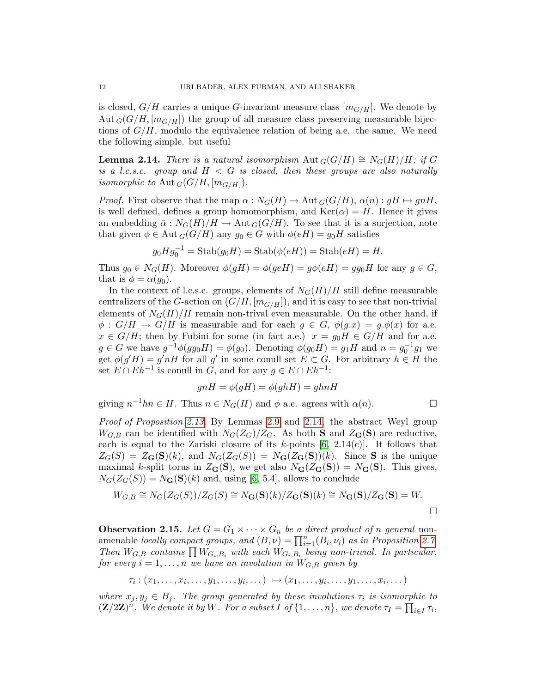is closed,  $G/H$  carries a unique G-invariant measure class  $|m_{G/H}|$ . We denote by Aut  $_G(G/H, [m_{G/H}])$  the group of all measure class preserving measurable bijections of  $G/H$ , modulo the equivalence relation of being a.e. the same. We need the following simple. but useful

<span id="page-11-0"></span>**Lemma 2.14.** There is a natural isomorphism Aut  $_G(G/H) \cong N_G(H)/H$ ; if G is a l.c.s.c. group and  $H < G$  is closed, then these groups are also naturally isomorphic to Aut  $_G(G/H, [m_{G/H}])$ .

*Proof.* First observe that the map  $\alpha : N_G(H) \to \text{Aut}_G(G/H)$ ,  $\alpha(n) : gH \mapsto gnH$ , is well defined, defines a group homomorphism, and  $Ker(\alpha) = H$ . Hence it gives an embedding  $\bar{\alpha}: N_G(H)/H \to \text{Aut}_G(G/H)$ . To see that it is a surjection, note that given  $\phi \in \text{Aut}_G(G/H)$  any  $g_0 \in G$  with  $\phi(eH) = g_0H$  satisfies

$$
g_0 H g_0^{-1} = \text{Stab}(g_0 H) = \text{Stab}(\phi(eH)) = \text{Stab}(eH) = H.
$$

Thus  $g_0 \in N_G(H)$ . Moreover  $\phi(gH) = \phi(geH) = g\phi(eH) = gg_0H$  for any  $g \in G$ , that is  $\phi = \alpha(g_0)$ .

In the context of l.c.s.c. groups, elements of  $N_G(H)/H$  still define measurable centralizers of the G-action on  $(G/H, [m_{G/H}])$ , and it is easy to see that non-trivial elements of  $N_G(H)/H$  remain non-trival even measurable. On the other hand, if  $\phi: G/H \to G/H$  is measurable and for each  $g \in G$ ,  $\phi(g.x) = g.\phi(x)$  for a.e.  $x \in G/H$ ; then by Fubini for some (in fact a.e.)  $x = g_0 H \in G/H$  and for a.e.  $g \in G$  we have  $g^{-1}\phi(gg_0H) = \phi(g_0)$ . Denoting  $\phi(g_0H) = g_1H$  and  $n = g_0^{-1}g_1$  we get  $\phi(g'H) = g'nH$  for all g' in some conull set  $E \subset G$ . For arbitrary  $h \in H$  the set  $E \cap Eh^{-1}$  is conull in G, and for any  $g \in E \cap Eh^{-1}$ :

$$
gnH = \phi(gH) = \phi(ghH) = ghnH
$$

giving  $n^{-1}hn \in H$ . Thus  $n \in N_G(H)$  and  $\phi$  a.e. agrees with  $\alpha(n)$ .

Proof of Proposition [2.13.](#page-10-0) By Lemmas [2.9](#page-9-1) and [2.14,](#page-11-0) the abstract Weyl group  $W_{G,B}$  can be identified with  $N_G(Z_G)/Z_G$ . As both **S** and  $Z_G(S)$  are reductive, each is equal to the Zariski closure of its k-points  $[6, 2.14(c)]$ . It follows that  $Z_G(S) = Z_G(\mathbf{S})(k)$ , and  $N_G(Z_G(S)) = N_G(Z_G(\mathbf{S}))(k)$ . Since **S** is the unique maximal k-split torus in  $Z_{\mathbf{G}}(\mathbf{S})$ , we get also  $N_{\mathbf{G}}(Z_{\mathbf{G}}(\mathbf{S})) = N_{\mathbf{G}}(\mathbf{S})$ . This gives,  $N_G(Z_G(S)) = N_G(\mathbf{S})(k)$  and, using [\[6,](#page-36-15) 5.4], allows to conclude

$$
W_{G,B} \cong N_G(Z_G(S))/Z_G(S) \cong N_{\mathbf{G}}(\mathbf{S})(k)/Z_{\mathbf{G}}(\mathbf{S})(k) \cong N_{\mathbf{G}}(\mathbf{S})/Z_{\mathbf{G}}(\mathbf{S}) = W.
$$

<span id="page-11-1"></span>**Observation 2.15.** Let  $G = G_1 \times \cdots \times G_n$  be a direct product of n general nonamenable locally compact groups, and  $(B, \nu) = \prod_{i=1}^{n} (B_i, \nu_i)$  as in Proposition [2.7.](#page-8-2) Then  $W_{G,B}$  contains  $\prod W_{G_i,B_i}$  with each  $W_{G_i,B_i}$  being non-trivial. In particular, for every  $i = 1, \ldots, n$  we have an involution in  $W_{G,B}$  given by

$$
\tau_i:(x_1,\ldots,x_i,\ldots,y_1,\ldots,y_i,\ldots)\ \mapsto (x_1,\ldots,y_i,\ldots,y_1,\ldots,x_i,\ldots)
$$

where  $x_j, y_j \in B_j$ . The group generated by these involutions  $\tau_i$  is isomorphic to  $(\mathbf{Z}/2\mathbf{Z})^n$ . We denote it by W. For a subset I of  $\{1,\ldots,n\}$ , we denote  $\tau_I = \prod_{i\in I} \tau_i$ ,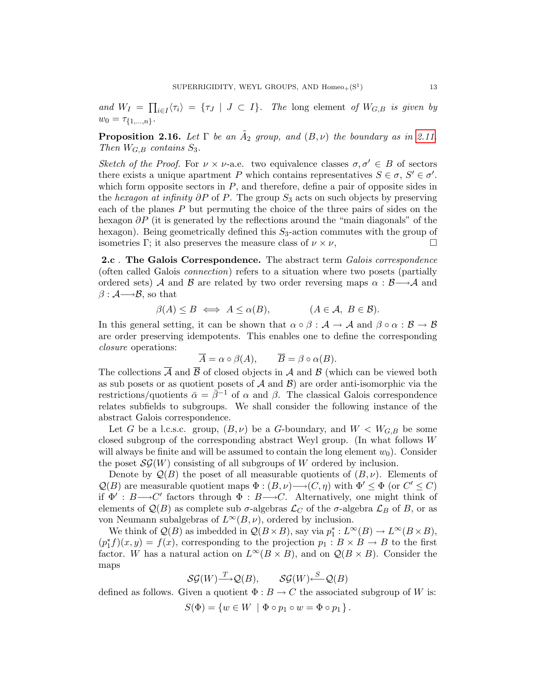and  $W_I = \prod_{i \in I} \langle \tau_i \rangle = \{ \tau_J \mid J \subset I \}$ . The long element of  $W_{G,B}$  is given by  $w_0 = \tau_{\{1,\dots,n\}}.$ 

<span id="page-12-0"></span>**Proposition 2.16.** Let  $\Gamma$  be an  $\tilde{A}_2$  group, and  $(B, \nu)$  the boundary as in [2.11.](#page-10-1) Then  $W_{G,B}$  contains  $S_3$ .

Sketch of the Proof. For  $\nu \times \nu$ -a.e. two equivalence classes  $\sigma, \sigma' \in B$  of sectors there exists a unique apartment P which contains representatives  $S \in \sigma$ ,  $S' \in \sigma'$ . which form opposite sectors in  $P$ , and therefore, define a pair of opposite sides in the hexagon at infinity  $\partial P$  of P. The group  $S_3$  acts on such objects by preserving each of the planes  $P$  but permuting the choice of the three pairs of sides on the hexagon  $\partial P$  (it is generated by the reflections around the "main diagonals" of the hexagon). Being geometrically defined this  $S_3$ -action commutes with the group of isometries Γ; it also preserves the measure class of  $\nu \times \nu$ ,

<span id="page-12-1"></span>**2.c** . The Galois Correspondence. The abstract term Galois correspondence (often called Galois connection) refers to a situation where two posets (partially ordered sets) A and B are related by two order reversing maps  $\alpha : \mathcal{B} \longrightarrow \mathcal{A}$  and  $\beta : \mathcal{A} \longrightarrow \mathcal{B}$ , so that

$$
\beta(A) \le B \iff A \le \alpha(B), \qquad (A \in \mathcal{A}, \ B \in \mathcal{B}).
$$

In this general setting, it can be shown that  $\alpha \circ \beta : A \to A$  and  $\beta \circ \alpha : B \to B$ are order preserving idempotents. This enables one to define the corresponding closure operations:

$$
\overline{A} = \alpha \circ \beta(A), \qquad \overline{B} = \beta \circ \alpha(B).
$$

The collections  $\overline{A}$  and  $\overline{B}$  of closed objects in A and B (which can be viewed both as sub posets or as quotient posets of  $A$  and  $B$ ) are order anti-isomorphic via the restrictions/quotients  $\bar{\alpha} = \bar{\beta}^{-1}$  of  $\alpha$  and  $\beta$ . The classical Galois correspondence relates subfields to subgroups. We shall consider the following instance of the abstract Galois correspondence.

Let G be a l.c.s.c. group,  $(B, \nu)$  be a G-boundary, and  $W < W_{G,B}$  be some closed subgroup of the corresponding abstract Weyl group. (In what follows W will always be finite and will be assumed to contain the long element  $w_0$ ). Consider the poset  $\mathcal{SG}(W)$  consisting of all subgroups of W ordered by inclusion.

Denote by  $\mathcal{Q}(B)$  the poset of all measurable quotients of  $(B, \nu)$ . Elements of  $\mathcal{Q}(B)$  are measurable quotient maps  $\Phi : (B, \nu) \longrightarrow (C, \eta)$  with  $\Phi' \leq \Phi$  (or  $C' \leq C$ ) if  $\Phi' : B \longrightarrow C'$  factors through  $\Phi : B \longrightarrow C$ . Alternatively, one might think of elements of  $Q(B)$  as complete sub  $\sigma$ -algebras  $\mathcal{L}_C$  of the  $\sigma$ -algebra  $\mathcal{L}_B$  of B, or as von Neumann subalgebras of  $L^{\infty}(B,\nu)$ , ordered by inclusion.

We think of  $Q(B)$  as imbedded in  $Q(B \times B)$ , say via  $p_1^*: L^{\infty}(B) \to L^{\infty}(B \times B)$ ,  $(p_1^* f)(x, y) = f(x)$ , corresponding to the projection  $p_1 : B \times B \to B$  to the first factor. W has a natural action on  $L^{\infty}(B \times B)$ , and on  $\mathcal{Q}(B \times B)$ . Consider the maps

$$
\mathcal{SG}(W) \stackrel{T}{\longrightarrow} \mathcal{Q}(B), \qquad \mathcal{SG}(W) \stackrel{S}{\longleftarrow} \mathcal{Q}(B)
$$

defined as follows. Given a quotient  $\Phi : B \to C$  the associated subgroup of W is:

$$
S(\Phi) = \{ w \in W \mid \Phi \circ p_1 \circ w = \Phi \circ p_1 \}.
$$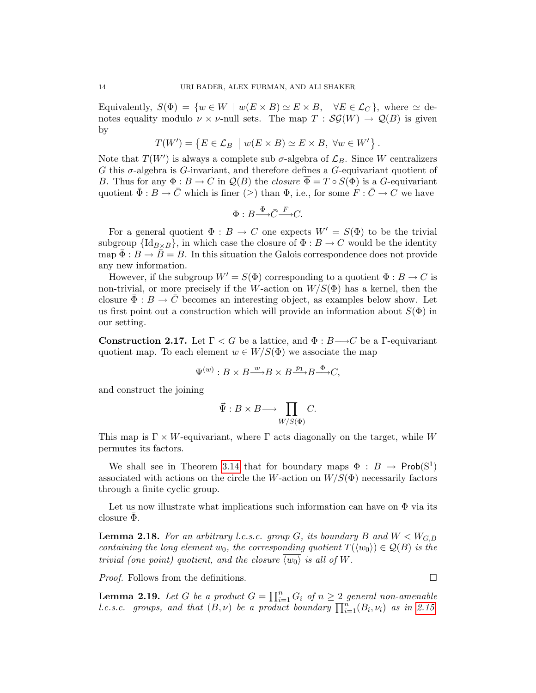Equivalently,  $S(\Phi) = \{w \in W \mid w(E \times B) \simeq E \times B, \forall E \in \mathcal{L}_C \}$ , where  $\simeq$  denotes equality modulo  $\nu \times \nu$ -null sets. The map  $T : \mathcal{SG}(W) \to \mathcal{Q}(B)$  is given by

$$
T(W') = \{ E \in \mathcal{L}_B \mid w(E \times B) \simeq E \times B, \ \forall w \in W' \}.
$$

Note that  $T(W')$  is always a complete sub  $\sigma$ -algebra of  $\mathcal{L}_B$ . Since W centralizers G this  $\sigma$ -algebra is G-invariant, and therefore defines a G-equivariant quotient of B. Thus for any  $\Phi : B \to C$  in  $\mathcal{Q}(B)$  the *closure*  $\overline{\Phi} = T \circ S(\Phi)$  is a G-equivariant quotient  $\bar{\Phi}: B \to \bar{C}$  which is finer  $(\geq)$  than  $\Phi$ , i.e., for some  $F: \bar{C} \to C$  we have

$$
\Phi:B{\overset{\bar\Phi}{\longrightarrow}}\bar C{\overset{F}{\longrightarrow}}C.
$$

For a general quotient  $\Phi : B \to C$  one expects  $W' = S(\Phi)$  to be the trivial subgroup  $\{Id_{B\times B}\}\$ , in which case the closure of  $\Phi : B \to C$  would be the identity map  $\bar{\Phi}: B \to \bar{B} = B$ . In this situation the Galois correspondence does not provide any new information.

However, if the subgroup  $W' = S(\Phi)$  corresponding to a quotient  $\Phi : B \to C$  is non-trivial, or more precisely if the W-action on  $W/S(\Phi)$  has a kernel, then the closure  $\bar{\Phi}: B \to \bar{C}$  becomes an interesting object, as examples below show. Let us first point out a construction which will provide an information about  $S(\Phi)$  in our setting.

<span id="page-13-0"></span>Construction 2.17. Let  $\Gamma < G$  be a lattice, and  $\Phi : B \longrightarrow C$  be a Γ-equivariant quotient map. To each element  $w \in W/S(\Phi)$  we associate the map

$$
\Psi^{(w)}: B \times B \xrightarrow{w} B \times B \xrightarrow{p_1} B \xrightarrow{\Phi} C,
$$

and construct the joining

$$
\vec{\Psi}:B\times B\longrightarrow \prod_{W/S(\Phi)}C.
$$

This map is  $\Gamma \times W$ -equivariant, where  $\Gamma$  acts diagonally on the target, while W permutes its factors.

We shall see in Theorem [3.14](#page-21-0) that for boundary maps  $\Phi : B \to \mathsf{Prob}(S^1)$ associated with actions on the circle the W-action on  $W/S(\Phi)$  necessarily factors through a finite cyclic group.

Let us now illustrate what implications such information can have on  $\Phi$  via its closure  $\Phi$ .

<span id="page-13-1"></span>**Lemma 2.18.** For an arbitrary l.c.s.c. group G, its boundary B and  $W < W_{G,B}$ containing the long element w<sub>0</sub>, the corresponding quotient  $T(\langle w_0 \rangle) \in \mathcal{Q}(B)$  is the trivial (one point) quotient, and the closure  $\langle w_0 \rangle$  is all of W.

*Proof.* Follows from the definitions.  $\square$ 

<span id="page-13-2"></span>**Lemma 2.19.** Let G be a product  $G = \prod_{i=1}^{n} G_i$  of  $n \geq 2$  general non-amenable l.c.s.c. groups, and that  $(B, \nu)$  be a product boundary  $\prod_{i=1}^{n} (B_i, \nu_i)$  as in [2.15.](#page-11-1)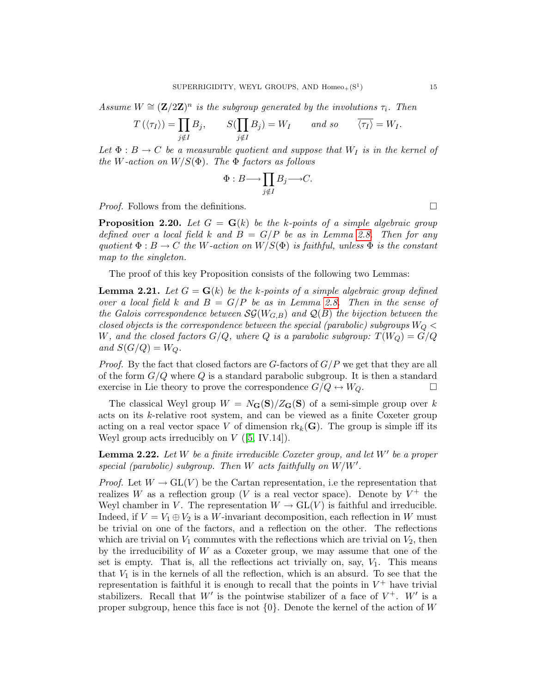Assume  $W \cong (\mathbf{Z}/2\mathbf{Z})^n$  is the subgroup generated by the involutions  $\tau_i$ . Then

$$
T(\langle \tau_I \rangle) = \prod_{j \notin I} B_j, \qquad S(\prod_{j \notin I} B_j) = W_I \qquad \text{and so} \qquad \overline{\langle \tau_I \rangle} = W_I.
$$

Let  $\Phi : B \to C$  be a measurable quotient and suppose that  $W_I$  is in the kernel of the W-action on  $W/S(\Phi)$ . The  $\Phi$  factors as follows

$$
\Phi: B \longrightarrow \prod_{j \notin I} B_j \longrightarrow C.
$$

*Proof.* Follows from the definitions.  $\Box$ 

<span id="page-14-0"></span>**Proposition 2.20.** Let  $G = G(k)$  be the k-points of a simple algebraic group defined over a local field k and  $B = G/P$  be as in Lemma [2.8.](#page-9-0) Then for any quotient  $\Phi : B \to C$  the W-action on  $W/S(\Phi)$  is faithful, unless  $\Phi$  is the constant map to the singleton.

The proof of this key Proposition consists of the following two Lemmas:

**Lemma 2.21.** Let  $G = G(k)$  be the k-points of a simple algebraic group defined over a local field k and  $B = G/P$  be as in Lemma [2.8.](#page-9-0) Then in the sense of the Galois correspondence between  $\mathcal{SG}(W_{G,B})$  and  $\mathcal{Q}(B)$  the bijection between the closed objects is the correspondence between the special (parabolic) subgroups  $W_Q$  < W, and the closed factors  $G/Q$ , where Q is a parabolic subgroup:  $T(W_Q) = G/Q$ and  $S(G/Q) = W_Q$ .

*Proof.* By the fact that closed factors are G-factors of  $G/P$  we get that they are all of the form  $G/Q$  where Q is a standard parabolic subgroup. It is then a standard exercise in Lie theory to prove the correspondence  $G/Q \leftrightarrow W_Q$ .

The classical Weyl group  $W = N_G(S)/Z_G(S)$  of a semi-simple group over k acts on its k-relative root system, and can be viewed as a finite Coxeter group acting on a real vector space V of dimension  $\text{rk}_{k}(\mathbf{G})$ . The group is simple iff its Weyl group acts irreducibly on  $V$  ([\[5,](#page-36-20) IV.14]).

**Lemma 2.22.** Let W be a finite irreducible Coxeter group, and let  $W'$  be a proper special (parabolic) subgroup. Then  $W$  acts faithfully on  $W/W'$ .

*Proof.* Let  $W \to GL(V)$  be the Cartan representation, i.e the representation that realizes W as a reflection group (V is a real vector space). Denote by  $V^+$  the Weyl chamber in V. The representation  $W \to GL(V)$  is faithful and irreducible. Indeed, if  $V = V_1 \oplus V_2$  is a W-invariant decomposition, each reflection in W must be trivial on one of the factors, and a reflection on the other. The reflections which are trivial on  $V_1$  commutes with the reflections which are trivial on  $V_2$ , then by the irreducibility of W as a Coxeter group, we may assume that one of the set is empty. That is, all the reflections act trivially on, say,  $V_1$ . This means that  $V_1$  is in the kernels of all the reflection, which is an absurd. To see that the representation is faithful it is enough to recall that the points in  $V^+$  have trivial stabilizers. Recall that  $W'$  is the pointwise stabilizer of a face of  $V^+$ . W' is a proper subgroup, hence this face is not  $\{0\}$ . Denote the kernel of the action of W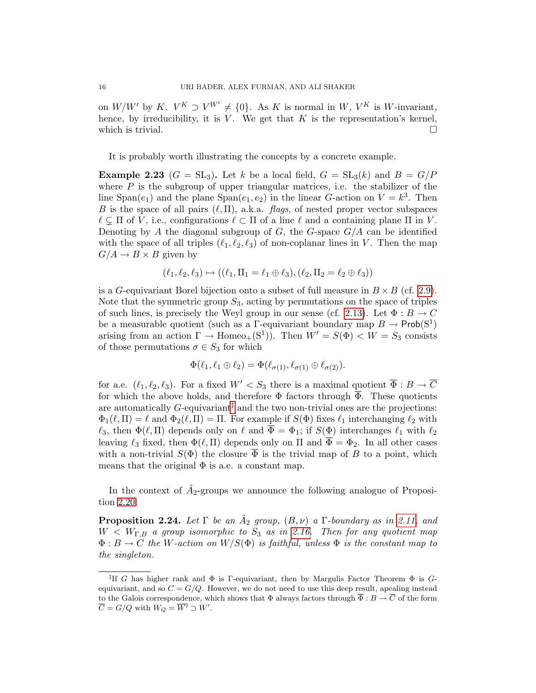on  $W/W'$  by K.  $V^K \supset V^{W'} \neq \{0\}$ . As K is normal in W,  $V^K$  is W-invariant, hence, by irreducibility, it is  $V$ . We get that  $K$  is the representation's kernel, which is trivial.  $\Box$ 

It is probably worth illustrating the concepts by a concrete example.

**Example 2.23** ( $G = SL_3$ ). Let k be a local field,  $G = SL_3(k)$  and  $B = G/P$ where  $P$  is the subgroup of upper triangular matrices, i.e. the stabilizer of the line  $Span(e_1)$  and the plane  $Span(e_1, e_2)$  in the linear *G*-action on  $V = k^3$ . Then B is the space of all pairs  $(\ell, \Pi)$ , a.k.a. flags, of nested proper vector subspaces  $\ell \subsetneq \Pi$  of V, i.e., configurations  $\ell \subset \Pi$  of a line  $\ell$  and a containing plane  $\Pi$  in V. Denoting by A the diagonal subgroup of  $G$ , the G-space  $G/A$  can be identified with the space of all triples  $(\ell_1, \ell_2, \ell_3)$  of non-coplanar lines in V. Then the map  $G/A \rightarrow B \times B$  given by

$$
(\ell_1, \ell_2, \ell_3) \mapsto ((\ell_1, \Pi_1 = \ell_1 \oplus \ell_3), (\ell_2, \Pi_2 = \ell_2 \oplus \ell_3))
$$

is a G-equivariant Borel bijection onto a subset of full measure in  $B \times B$  (cf. [2.9\)](#page-9-1). Note that the symmetric group  $S_3$ , acting by permutations on the space of triples of such lines, is precisely the Weyl group in our sense (cf. [2.13\)](#page-10-0). Let  $\Phi : B \to C$ be a measurable quotient (such as a  $\Gamma$ -equivariant boundary map  $B \to \mathsf{Prob}(S^1)$ arising from an action  $\Gamma \to \text{Homeo}_+(\mathbb{S}^1)$ . Then  $W' = S(\Phi) < W = S_3$  consists of those permutations  $\sigma \in S_3$  for which

$$
\Phi(\ell_1, \ell_1 \oplus \ell_2) = \Phi(\ell_{\sigma(1)}, \ell_{\sigma(1)} \oplus \ell_{\sigma(2)}).
$$

for a.e.  $(\ell_1, \ell_2, \ell_3)$ . For a fixed  $W' < S_3$  there is a maximal quotient  $\overline{\Phi}: B \to \overline{C}$ for which the above holds, and therefore  $\Phi$  factors through  $\overline{\Phi}$ . These quotients are automatically G-equivariant<sup> $\ddagger$ </sup> and the two non-trivial ones are the projections:  $\Phi_1(\ell, \Pi) = \ell$  and  $\Phi_2(\ell, \Pi) = \Pi$ . For example if  $S(\Phi)$  fixes  $\ell_1$  interchanging  $\ell_2$  with  $\ell_3$ , then  $\Phi(\ell, \Pi)$  depends only on  $\ell$  and  $\overline{\Phi} = \Phi_1$ ; if  $S(\Phi)$  interchanges  $\ell_1$  with  $\ell_2$ leaving  $\ell_3$  fixed, then  $\Phi(\ell, \Pi)$  depends only on  $\Pi$  and  $\overline{\Phi} = \Phi_2$ . In all other cases with a non-trivial  $S(\Phi)$  the closure  $\overline{\Phi}$  is the trivial map of B to a point, which means that the original  $\Phi$  is a.e. a constant map.

In the context of  $\tilde{A}_2$ -groups we announce the following analogue of Proposition [2.20:](#page-14-0)

<span id="page-15-1"></span>**Proposition 2.24.** Let  $\Gamma$  be an  $\tilde{A}_2$  group,  $(B, \nu)$  a  $\Gamma$ -boundary as in [2.11,](#page-10-1) and  $W < W_{\Gamma,B}$  a group isomorphic to  $S_3$  as in [2.16.](#page-12-0) Then for any quotient map  $\Phi : B \to C$  the W-action on  $W/S(\Phi)$  is faithful, unless  $\Phi$  is the constant map to the singleton.

<span id="page-15-0"></span><sup>&</sup>lt;sup>‡</sup>If G has higher rank and  $\Phi$  is Γ-equivariant, then by Margulis Factor Theorem  $\Phi$  is Gequivariant, and so  $C = G/Q$ . However, we do not need to use this deep result, apealing instead to the Galois correspondence, which shows that  $\Phi$  always factors through  $\overline{\Phi}: B \to \overline{C}$  of the form  $\overline{C} = G/Q$  with  $W_Q = \overline{W'} \supset W'.$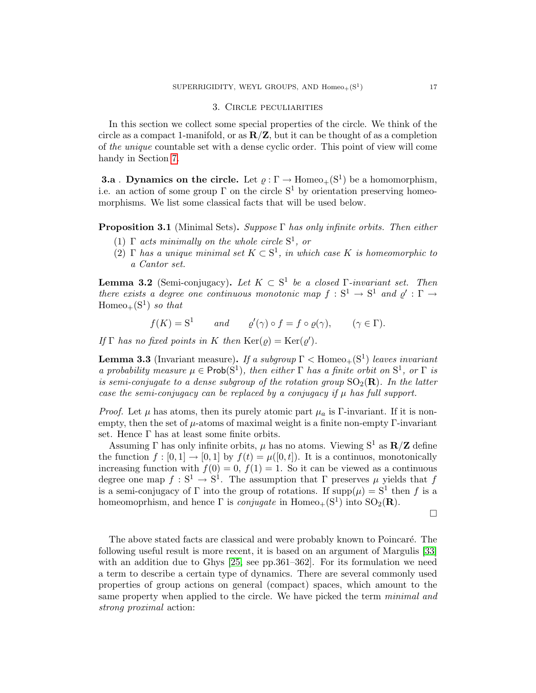## 3. Circle peculiarities

<span id="page-16-1"></span>In this section we collect some special properties of the circle. We think of the circle as a compact 1-manifold, or as  $\mathbb{R}/\mathbb{Z}$ , but it can be thought of as a completion of the unique countable set with a dense cyclic order. This point of view will come handy in Section [7.](#page-32-0)

**3.a** . Dynamics on the circle. Let  $\varrho : \Gamma \to \text{Homeo}_+(\mathbb{S}^1)$  be a homomorphism, i.e. an action of some group  $\Gamma$  on the circle  $S^1$  by orientation preserving homeomorphisms. We list some classical facts that will be used below.

## <span id="page-16-3"></span>**Proposition 3.1** (Minimal Sets). Suppose  $\Gamma$  has only infinite orbits. Then either

- (1)  $\Gamma$  acts minimally on the whole circle  $S^1$ , or
- (2)  $\Gamma$  has a unique minimal set  $K \subset S^1$ , in which case K is homeomorphic to a Cantor set.

**Lemma 3.2** (Semi-conjugacy). Let  $K \subset S^1$  be a closed Γ-invariant set. Then there exists a degree one continuous monotonic map  $f : S^1 \to S^1$  and  $\varrho' : \Gamma \to$  $Homeo_+(S^1)$  so that

$$
f(K) = S^1
$$
 and  $\varrho'(\gamma) \circ f = f \circ \varrho(\gamma), \qquad (\gamma \in \Gamma).$ 

If  $\Gamma$  has no fixed points in K then  $\text{Ker}(\varrho) = \text{Ker}(\varrho').$ 

<span id="page-16-2"></span>**Lemma 3.3** (Invariant measure). If a subgroup  $\Gamma$  < Homeo<sub>+</sub>(S<sup>1</sup>) leaves invariant a probability measure  $\mu \in \text{Prob}(S^1)$ , then either  $\Gamma$  has a finite orbit on  $S^1$ , or  $\Gamma$  is is semi-conjugate to a dense subgroup of the rotation group  $SO_2(\mathbf{R})$ . In the latter case the semi-conjugacy can be replaced by a conjugacy if  $\mu$  has full support.

*Proof.* Let  $\mu$  has atoms, then its purely atomic part  $\mu_a$  is Γ-invariant. If it is nonempty, then the set of  $\mu$ -atoms of maximal weight is a finite non-empty  $\Gamma$ -invariant set. Hence Γ has at least some finite orbits.

Assuming Γ has only infinite orbits,  $\mu$  has no atoms. Viewing  $S^1$  as  $\mathbb{R}/\mathbb{Z}$  define the function  $f : [0, 1] \to [0, 1]$  by  $f(t) = \mu([0, t])$ . It is a continuos, monotonically increasing function with  $f(0) = 0$ ,  $f(1) = 1$ . So it can be viewed as a continuous degree one map  $f: S^1 \to S^1$ . The assumption that  $\Gamma$  preserves  $\mu$  yields that f is a semi-conjugacy of  $\Gamma$  into the group of rotations. If  $\text{supp}(\mu) = S^1$  then f is a homeomoprhism, and hence  $\Gamma$  is *conjugate* in Homeo<sub>+</sub>(S<sup>1</sup>) into SO<sub>2</sub>(**R**).

$$
\Box
$$

<span id="page-16-0"></span>The above stated facts are classical and were probably known to Poincaré. The following useful result is more recent, it is based on an argument of Margulis [\[33\]](#page-37-19) with an addition due to Ghys [\[25,](#page-36-21) see pp.361–362]. For its formulation we need a term to describe a certain type of dynamics. There are several commonly used properties of group actions on general (compact) spaces, which amount to the same property when applied to the circle. We have picked the term minimal and strong proximal action: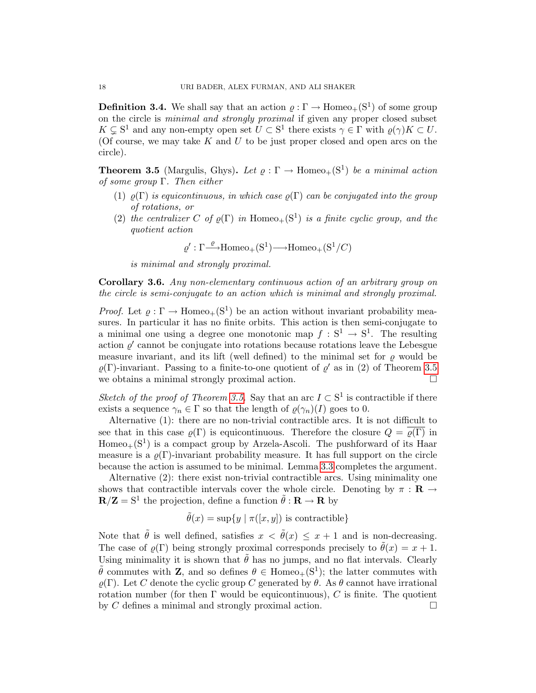**Definition 3.4.** We shall say that an action  $\varrho : \Gamma \to \text{Homeo}_+(\mathbf{S}^1)$  of some group on the circle is minimal and strongly proximal if given any proper closed subset  $K \subsetneq S^1$  and any non-empty open set  $U \subset S^1$  there exists  $\gamma \in \Gamma$  with  $\varrho(\gamma)K \subset U$ . (Of course, we may take  $K$  and  $U$  to be just proper closed and open arcs on the circle).

<span id="page-17-0"></span>**Theorem 3.5** (Margulis, Ghys). Let  $\varrho : \Gamma \to \text{Homeo}_+(\mathbb{S}^1)$  be a minimal action of some group  $\Gamma$ . Then either

- (1)  $\rho(\Gamma)$  is equicontinuous, in which case  $\rho(\Gamma)$  can be conjugated into the group of rotations, or
- (2) the centralizer C of  $\varrho(\Gamma)$  in Homeo<sub>+</sub>(S<sup>1</sup>) is a finite cyclic group, and the quotient action

$$
\varrho': \Gamma \xrightarrow{\varrho} \text{Homeo}_+(\mathbf{S}^1) \longrightarrow \text{Homeo}_+(\mathbf{S}^1/C)
$$

is minimal and strongly proximal.

<span id="page-17-1"></span>Corollary 3.6. Any non-elementary continuous action of an arbitrary group on the circle is semi-conjugate to an action which is minimal and strongly proximal.

*Proof.* Let  $\varrho : \Gamma \to \text{Homeo}_+(\mathbb{S}^1)$  be an action without invariant probability measures. In particular it has no finite orbits. This action is then semi-conjugate to a minimal one using a degree one monotonic map  $f : S^1 \to S^1$ . The resulting action  $\rho'$  cannot be conjugate into rotations because rotations leave the Lebesgue measure invariant, and its lift (well defined) to the minimal set for  $\rho$  would be  $\varrho(\Gamma)$ -invariant. Passing to a finite-to-one quotient of  $\varrho'$  as in (2) of Theorem [3.5](#page-17-0) we obtains a minimal strongly proximal action.

Sketch of the proof of Theorem [3.5.](#page-17-0) Say that an arc  $I \subset S^1$  is contractible if there exists a sequence  $\gamma_n \in \Gamma$  so that the length of  $\varrho(\gamma_n)(I)$  goes to 0.

Alternative (1): there are no non-trivial contractible arcs. It is not difficult to see that in this case  $\varrho(\Gamma)$  is equicontinuous. Therefore the closure  $Q = \overline{\varrho(\Gamma)}$  in  $Homeo_+(S^1)$  is a compact group by Arzela-Ascoli. The pushforward of its Haar measure is a  $\rho(\Gamma)$ -invariant probability measure. It has full support on the circle because the action is assumed to be minimal. Lemma [3.3](#page-16-2) completes the argument.

Alternative (2): there exist non-trivial contractible arcs. Using minimality one shows that contractible intervals cover the whole circle. Denoting by  $\pi : \mathbf{R} \to$  $\mathbf{R}/\mathbf{Z} = \mathbf{S}^1$  the projection, define a function  $\tilde{\theta} : \mathbf{R} \to \mathbf{R}$  by

$$
\tilde{\theta}(x) = \sup\{y \mid \pi([x, y]) \text{ is contractible}\}\
$$

Note that  $\tilde{\theta}$  is well defined, satisfies  $x < \tilde{\theta}(x) \leq x + 1$  and is non-decreasing. The case of  $\varrho(\Gamma)$  being strongly proximal corresponds precisely to  $\hat{\theta}(x) = x + 1$ . Using minimality it is shown that  $\hat{\theta}$  has no jumps, and no flat intervals. Clearly  $\tilde{\theta}$  commutes with **Z**, and so defines  $\theta \in \text{Homeo}_+(\mathbb{S}^1)$ ; the latter commutes with  $\rho(\Gamma)$ . Let C denote the cyclic group C generated by  $\theta$ . As  $\theta$  cannot have irrational rotation number (for then  $\Gamma$  would be equicontinuous), C is finite. The quotient by C defines a minimal and strongly proximal action.  $\Box$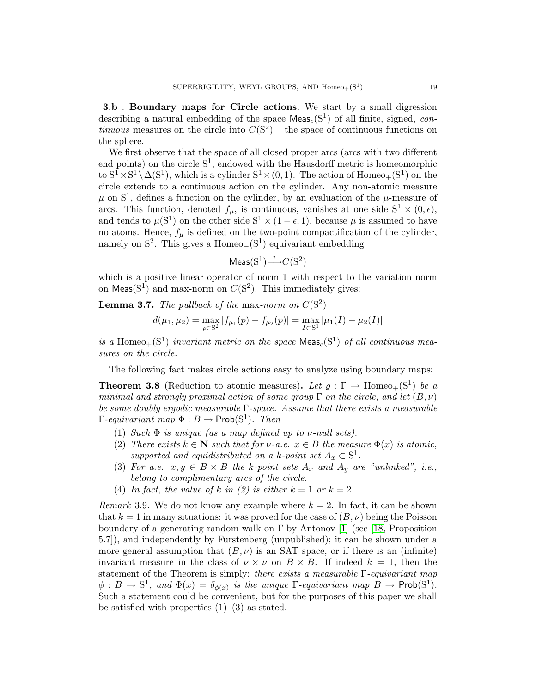3.b . Boundary maps for Circle actions. We start by a small digression describing a natural embedding of the space  $\mathsf{Meas}_c(S^1)$  of all finite, signed, continuous measures on the circle into  $C(S^2)$  – the space of continuous functions on the sphere.

We first observe that the space of all closed proper arcs (arcs with two different end points) on the circle  $S^1$ , endowed with the Hausdorff metric is homeomorphic to  $S^1 \times S^1 \setminus \Delta(S^1)$ , which is a cylinder  $S^1 \times (0, 1)$ . The action of Homeo<sub>+</sub>(S<sup>1</sup>) on the circle extends to a continuous action on the cylinder. Any non-atomic measure  $\mu$  on S<sup>1</sup>, defines a function on the cylinder, by an evaluation of the  $\mu$ -measure of arcs. This function, denoted  $f_{\mu}$ , is continuous, vanishes at one side  $S^1 \times (0, \epsilon)$ , and tends to  $\mu(S^1)$  on the other side  $S^1 \times (1 - \epsilon, 1)$ , because  $\mu$  is assumed to have no atoms. Hence,  $f_{\mu}$  is defined on the two-point compactification of the cylinder, namely on  $S^2$ . This gives a Homeo<sub>+</sub> $(S^1)$  equivariant embedding

$$
\mathsf{Meas}(S^1) \stackrel{i}{\longrightarrow} C(S^2)
$$

which is a positive linear operator of norm 1 with respect to the variation norm on Meas( $S^1$ ) and max-norm on  $C(S^2)$ . This immediately gives:

<span id="page-18-1"></span>**Lemma 3.7.** The pullback of the max-norm on  $C(S^2)$ 

$$
d(\mu_1, \mu_2) = \max_{p \in \mathbb{S}^2} |f_{\mu_1}(p) - f_{\mu_2}(p)| = \max_{I \subset \mathbb{S}^1} |\mu_1(I) - \mu_2(I)|
$$

is a Homeo<sub>+</sub>(S<sup>1</sup>) invariant metric on the space  $\text{Meas}_c(S^1)$  of all continuous measures on the circle.

The following fact makes circle actions easy to analyze using boundary maps:

<span id="page-18-0"></span>**Theorem 3.8** (Reduction to atomic measures). Let  $\varrho : \Gamma \to \text{Homeo}_+(\mathbb{S}^1)$  be a minimal and strongly proximal action of some group  $\Gamma$  on the circle, and let  $(B, \nu)$ be some doubly ergodic measurable  $\Gamma$ -space. Assume that there exists a measurable  $\Gamma$ -equivariant map  $\Phi : B \to \mathsf{Prob}(\mathbf{S}^1)$ . Then

- (1) Such  $\Phi$  is unique (as a map defined up to  $\nu$ -null sets).
- (2) There exists  $k \in \mathbb{N}$  such that for  $\nu$ -a.e.  $x \in B$  the measure  $\Phi(x)$  is atomic, supported and equidistributed on a k-point set  $A_x \subset \mathbb{S}^1$ .
- (3) For a.e.  $x, y \in B \times B$  the k-point sets  $A_x$  and  $A_y$  are "unlinked", i.e., belong to complimentary arcs of the circle.
- (4) In fact, the value of k in (2) is either  $k = 1$  or  $k = 2$ .

*Remark* 3.9. We do not know any example where  $k = 2$ . In fact, it can be shown that  $k = 1$  in many situations: it was proved for the case of  $(B, \nu)$  being the Poisson boundary of a generating random walk on  $\Gamma$  by Antonov [\[1\]](#page-35-1) (see [\[18,](#page-36-22) Proposition 5.7]), and independently by Furstenberg (unpublished); it can be shown under a more general assumption that  $(B, \nu)$  is an SAT space, or if there is an (infinite) invariant measure in the class of  $\nu \times \nu$  on  $B \times B$ . If indeed  $k = 1$ , then the statement of the Theorem is simply: there exists a measurable  $\Gamma$ -equivariant map  $\phi : B \to S^1$ , and  $\Phi(x) = \delta_{\phi(x)}$  is the unique  $\Gamma$ -equivariant map  $B \to \text{Prob}(S^1)$ . Such a statement could be convenient, but for the purposes of this paper we shall be satisfied with properties  $(1)$ – $(3)$  as stated.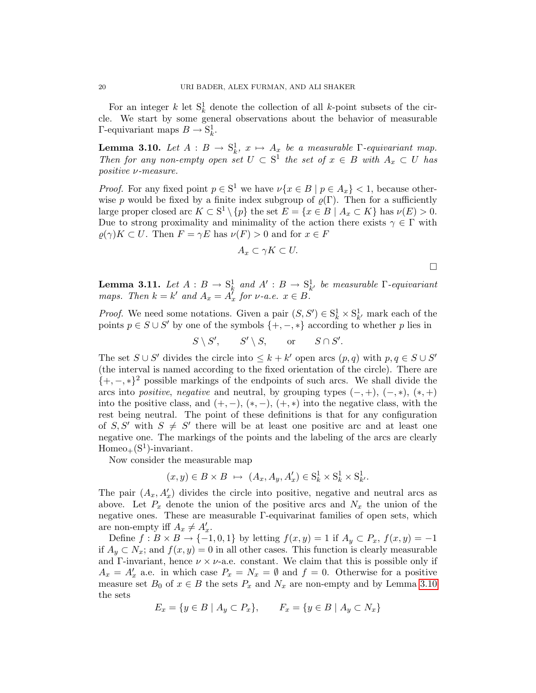For an integer k let  $S_k^1$  denote the collection of all k-point subsets of the circle. We start by some general observations about the behavior of measurable  $\Gamma$ -equivariant maps  $B \to \mathcal{S}_k^1$ .

<span id="page-19-0"></span>**Lemma 3.10.** Let  $A : B \to \mathbb{S}^1_k$ ,  $x \mapsto A_x$  be a measurable  $\Gamma$ -equivariant map. Then for any non-empty open set  $U \subset S^1$  the set of  $x \in B$  with  $A_x \subset U$  has positive ν-measure.

*Proof.* For any fixed point  $p \in S^1$  we have  $\nu\{x \in B \mid p \in A_x\} < 1$ , because otherwise p would be fixed by a finite index subgroup of  $\varrho(\Gamma)$ . Then for a sufficiently large proper closed arc  $K \subset S^1 \setminus \{p\}$  the set  $E = \{x \in B \mid A_x \subset K\}$  has  $\nu(E) > 0$ . Due to strong proximality and minimality of the action there exists  $\gamma \in \Gamma$  with  $\rho(\gamma)K \subset U$ . Then  $F = \gamma E$  has  $\nu(F) > 0$  and for  $x \in F$ 

$$
A_x \subset \gamma K \subset U.
$$

 $\Box$ 

<span id="page-19-1"></span>**Lemma 3.11.** Let  $A : B \to \mathcal{S}_k^1$  and  $A' : B \to \mathcal{S}_{k'}^1$  be measurable  $\Gamma$ -equivariant maps. Then  $k = k'$  and  $A_x = A'_x$  for  $\nu$ -a.e.  $x \in B$ .

*Proof.* We need some notations. Given a pair  $(S, S') \in S^1_k \times S^1_{k'}$  mark each of the points  $p \in S \cup S'$  by one of the symbols  $\{+,-,*\}$  according to whether p lies in

$$
S \setminus S', \qquad S' \setminus S, \qquad \text{or} \qquad S \cap S'.
$$

The set  $S \cup S'$  divides the circle into  $\leq k + k'$  open arcs  $(p, q)$  with  $p, q \in S \cup S'$ (the interval is named according to the fixed orientation of the circle). There are  $\{+, -, *\}^2$  possible markings of the endpoints of such arcs. We shall divide the arcs into *positive*, *negative* and neutral, by grouping types  $(-, +)$ ,  $(-, *)$ ,  $(*, +)$ into the positive class, and  $(+, -)$ ,  $(*, -)$ ,  $(+, *)$  into the negative class, with the rest being neutral. The point of these definitions is that for any configuration of S, S' with  $S \neq S'$  there will be at least one positive arc and at least one negative one. The markings of the points and the labeling of the arcs are clearly  $Homeo_+(S^1)$ -invariant.

Now consider the measurable map

$$
(x,y)\in B\times B\ \mapsto\ (A_x,A_y,A'_x)\in \mathcal{S}_k^1\times \mathcal{S}_k^1\times \mathcal{S}_{k'}^1.
$$

The pair  $(A_x, A'_x)$  divides the circle into positive, negative and neutral arcs as above. Let  $P_x$  denote the union of the positive arcs and  $N_x$  the union of the negative ones. These are measurable Γ-equivarinat families of open sets, which are non-empty iff  $A_x \neq A'_x$ .

Define  $f : B \times B \to \{-1, 0, 1\}$  by letting  $f(x, y) = 1$  if  $A_y \subset P_x$ ,  $f(x, y) = -1$ if  $A_y \subset N_x$ ; and  $f(x, y) = 0$  in all other cases. This function is clearly measurable and Γ-invariant, hence  $\nu \times \nu$ -a.e. constant. We claim that this is possible only if  $A_x = A'_x$  a.e. in which case  $P_x = N_x = \emptyset$  and  $f = 0$ . Otherwise for a positive measure set  $B_0$  of  $x \in B$  the sets  $P_x$  and  $N_x$  are non-empty and by Lemma [3.10](#page-19-0) the sets

$$
E_x = \{ y \in B \mid A_y \subset P_x \}, \qquad F_x = \{ y \in B \mid A_y \subset N_x \}
$$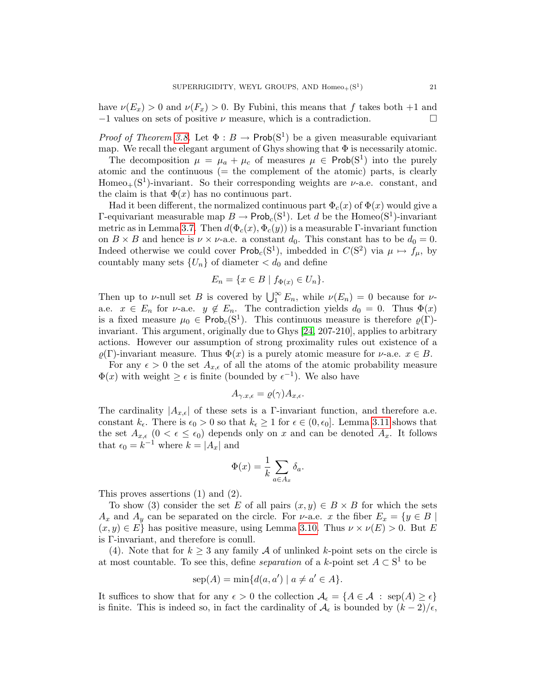have  $\nu(E_x) > 0$  and  $\nu(F_x) > 0$ . By Fubini, this means that f takes both +1 and  $-1$  values on sets of positive  $\nu$  measure, which is a contradiction.

*Proof of Theorem [3.8.](#page-18-0)* Let  $\Phi : B \to \text{Prob}(S^1)$  be a given measurable equivariant map. We recall the elegant argument of Ghys showing that  $\Phi$  is necessarily atomic.

The decomposition  $\mu = \mu_a + \mu_c$  of measures  $\mu \in \text{Prob}(S^1)$  into the purely atomic and the continuous  $(=$  the complement of the atomic) parts, is clearly  $Homeo_+(S^1)$ -invariant. So their corresponding weights are  $\nu$ -a.e. constant, and the claim is that  $\Phi(x)$  has no continuous part.

Had it been different, the normalized continuous part  $\Phi_c(x)$  of  $\Phi(x)$  would give a  $\Gamma$ -equivariant measurable map  $B \to \mathsf{Prob}_c(S^1)$ . Let d be the Homeo(S<sup>1</sup>)-invariant metric as in Lemma [3.7.](#page-18-1) Then  $d(\Phi_c(x), \Phi_c(y))$  is a measurable Γ-invariant function on  $B \times B$  and hence is  $\nu \times \nu$ -a.e. a constant  $d_0$ . This constant has to be  $d_0 = 0$ . Indeed otherwise we could cover  $\mathsf{Prob}_c(S^1)$ , imbedded in  $C(S^2)$  via  $\mu \mapsto f_\mu$ , by countably many sets  $\{U_n\}$  of diameter  $\langle d_0 \rangle$  and define

$$
E_n = \{ x \in B \mid f_{\Phi(x)} \in U_n \}.
$$

Then up to v-null set B is covered by  $\bigcup_{1}^{\infty} E_n$ , while  $\nu(E_n) = 0$  because for va.e.  $x \in E_n$  for  $\nu$ -a.e.  $y \notin E_n$ . The contradiction yields  $d_0 = 0$ . Thus  $\Phi(x)$ is a fixed measure  $\mu_0 \in \text{Prob}_c(S^1)$ . This continuous measure is therefore  $\varrho(\Gamma)$ invariant. This argument, originally due to Ghys [\[24,](#page-36-0) 207-210], applies to arbitrary actions. However our assumption of strong proximality rules out existence of a  $\varrho(\Gamma)$ -invariant measure. Thus  $\Phi(x)$  is a purely atomic measure for  $\nu$ -a.e.  $x \in B$ .

For any  $\epsilon > 0$  the set  $A_{x,\epsilon}$  of all the atoms of the atomic probability measure  $\Phi(x)$  with weight  $\geq \epsilon$  is finite (bounded by  $\epsilon^{-1}$ ). We also have

$$
A_{\gamma.x,\epsilon} = \varrho(\gamma) A_{x,\epsilon}.
$$

The cardinality  $|A_{x,\epsilon}|$  of these sets is a Γ-invariant function, and therefore a.e. constant  $k_{\epsilon}$ . There is  $\epsilon_0 > 0$  so that  $k_{\epsilon} \geq 1$  for  $\epsilon \in (0, \epsilon_0]$ . Lemma [3.11](#page-19-1) shows that the set  $A_{x,\epsilon}$   $(0 < \epsilon \leq \epsilon_0)$  depends only on x and can be denoted  $A_x$ . It follows that  $\epsilon_0 = k^{-1}$  where  $k = |A_x|$  and

$$
\Phi(x) = \frac{1}{k} \sum_{a \in A_x} \delta_a.
$$

This proves assertions (1) and (2).

To show (3) consider the set E of all pairs  $(x, y) \in B \times B$  for which the sets  $A_x$  and  $A_y$  can be separated on the circle. For v-a.e. x the fiber  $E_x = \{y \in B \mid$  $(x, y) \in E$  has positive measure, using Lemma [3.10.](#page-19-0) Thus  $\nu \times \nu(E) > 0$ . But E is Γ-invariant, and therefore is conull.

(4). Note that for  $k \geq 3$  any family A of unlinked k-point sets on the circle is at most countable. To see this, define *separation* of a k-point set  $A \subset S^1$  to be

$$
sep(A) = min{d(a, a') | a \neq a' \in A}.
$$

It suffices to show that for any  $\epsilon > 0$  the collection  $\mathcal{A}_{\epsilon} = \{A \in \mathcal{A} : \text{sep}(A) \geq \epsilon\}$ is finite. This is indeed so, in fact the cardinality of  $\mathcal{A}_{\epsilon}$  is bounded by  $(k-2)/\epsilon$ ,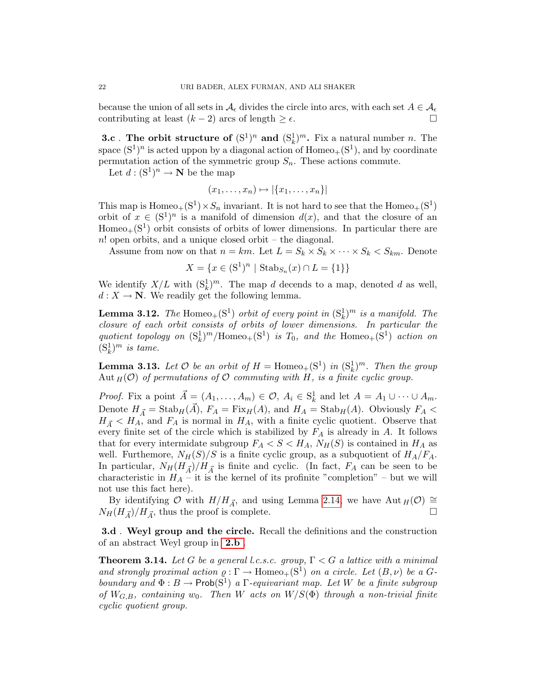because the union of all sets in  $\mathcal{A}_{\epsilon}$  divides the circle into arcs, with each set  $A \in \mathcal{A}_{\epsilon}$ contributing at least  $(k-2)$  arcs of length  $\geq \epsilon$ .

**3.c**. The orbit structure of  $(S^1)^n$  and  $(S^1_k)^m$ . Fix a natural number *n*. The space  $(S^1)^n$  is acted uppon by a diagonal action of  $Homeo_+(S^1)$ , and by coordinate permutation action of the symmetric group  $S_n$ . These actions commute.

Let  $d : (S^1)^n \to \mathbb{N}$  be the map

$$
(x_1,\ldots,x_n)\mapsto |\{x_1,\ldots,x_n\}|
$$

This map is  $Homeo_+(S^1) \times S_n$  invariant. It is not hard to see that the  $Homeo_+(S^1)$ orbit of  $x \in (S^1)^n$  is a manifold of dimension  $d(x)$ , and that the closure of an  $Homeo_+(S^1)$  orbit consists of orbits of lower dimensions. In particular there are n! open orbits, and a unique closed orbit – the diagonal.

Assume from now on that  $n = km$ . Let  $L = S_k \times S_k \times \cdots \times S_k \times S_{km}$ . Denote

$$
X = \{ x \in (\mathbf{S}^1)^n \mid \text{Stab}_{S_n}(x) \cap L = \{1\} \}
$$

We identify  $X/L$  with  $(S_k^1)^m$ . The map d decends to a map, denoted d as well,  $d: X \to \mathbb{N}$ . We readily get the following lemma.

<span id="page-21-1"></span>**Lemma 3.12.** The Homeo<sub>+</sub>(S<sup>1</sup>) orbit of every point in  $(S_k^1)^m$  is a manifold. The closure of each orbit consists of orbits of lower dimensions. In particular the quotient topology on  $(S_k^1)^m$ /Homeo<sub>+</sub> $(S^1)$  is  $T_0$ , and the Homeo<sub>+</sub> $(S^1)$  action on  $(S_k^1)^m$  is tame.

<span id="page-21-2"></span>**Lemma 3.13.** Let  $\mathcal O$  be an orbit of  $H = \text{Homeo}_+(\mathbb{S}^1)$  in  $(\mathbb{S}^1_k)^m$ . Then the group Aut  $_H(\mathcal{O})$  of permutations of  $\mathcal O$  commuting with H, is a finite cyclic group.

*Proof.* Fix a point  $\vec{A} = (A_1, \ldots, A_m) \in \mathcal{O}, A_i \in S_k^1$  and let  $A = A_1 \cup \cdots \cup A_m$ . Denote  $H_{\vec{A}} = \text{Stab}_H(\vec{A}), F_A = \text{Fix}_H(A)$ , and  $H_A = \text{Stab}_H(A)$ . Obviously  $F_A <$  $H_{\vec{A}} < H_A$ , and  $F_A$  is normal in  $H_A$ , with a finite cyclic quotient. Observe that every finite set of the circle which is stabilized by  $F_A$  is already in A. It follows that for every intermidate subgroup  $F_A < S < H_A$ ,  $N_H(S)$  is contained in  $H_A$  as well. Furthemore,  $N_H(S)/S$  is a finite cyclic group, as a subquotient of  $H_A/F_A$ . In particular,  $N_H(H_{\vec{A}})/H_{\vec{A}}$  is finite and cyclic. (In fact,  $F_A$  can be seen to be characteristic in  $H_A$  – it is the kernel of its profinite "completion" – but we will not use this fact here).

By identifying  $\mathcal O$  with  $H/H_{\vec{A}}$ , and using Lemma [2.14,](#page-11-0) we have Aut  $_H(\mathcal O) \cong H(H_{\vec{A}})/H_{\vec{A}}$ , thus the proof is complete. □  $N_H(H_{\vec{A}})/H_{\vec{A}}$ , thus the proof is complete.

3.d . Weyl group and the circle. Recall the definitions and the construction of an abstract Weyl group in [2.b](#page-10-2) .

<span id="page-21-0"></span>**Theorem 3.14.** Let G be a general l.c.s.c. group,  $\Gamma < G$  a lattice with a minimal and strongly proximal action  $\varrho : \Gamma \to \text{Homeo}_+(\mathbb{S}^1)$  on a circle. Let  $(B, \nu)$  be a Gboundary and  $\Phi : B \to \mathsf{Prob}(S^1)$  a  $\Gamma$ -equivariant map. Let W be a finite subgroup of  $W_{G,B}$ , containing w<sub>0</sub>. Then W acts on  $W/S(\Phi)$  through a non-trivial finite cyclic quotient group.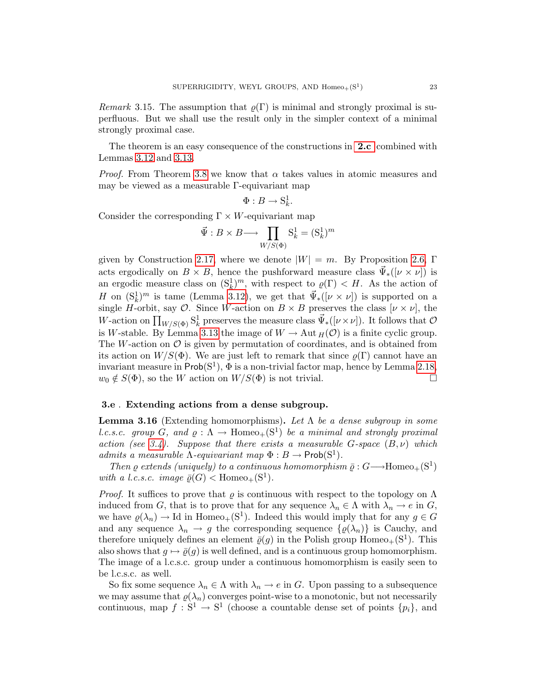Remark 3.15. The assumption that  $\rho(\Gamma)$  is minimal and strongly proximal is superfluous. But we shall use the result only in the simpler context of a minimal strongly proximal case.

The theorem is an easy consequence of the constructions in [2.c](#page-12-1) combined with Lemmas [3.12](#page-21-1) and [3.13.](#page-21-2)

*Proof.* From Theorem [3.8](#page-18-0) we know that  $\alpha$  takes values in atomic measures and may be viewed as a measurable Γ-equivariant map

$$
\Phi: B \to \mathbf{S}^1_k.
$$

Consider the corresponding  $\Gamma \times W$ -equivariant map

$$
\vec{\Psi}: B \times B \longrightarrow \prod_{W/S(\Phi)} \mathbf{S}_k^1 = (\mathbf{S}_k^1)^m
$$

given by Construction [2.17,](#page-13-0) where we denote  $|W| = m$ . By Proposition [2.6,](#page-8-0) Γ acts ergodically on  $B \times B$ , hence the pushforward measure class  $\vec{\Psi}_{*}([\nu \times \nu])$  is an ergodic measure class on  $(S_k^1)^m$ , with respect to  $\varrho(\Gamma) < H$ . As the action of H on  $({\rm S}_k^1)^m$  is tame (Lemma [3.12\)](#page-21-1), we get that  $\vec{\Psi}_*([\nu \times \nu])$  is supported on a single H-orbit, say  $\mathcal{O}$ . Since W-action on  $B \times B$  preserves the class  $[\nu \times \nu]$ , the W-action on  $\prod_{W/S(\Phi)} S_k^1$  preserves the measure class  $\vec{\Psi}_*([\nu \times \nu])$ . It follows that  $\mathcal O$ is W-stable. By Lemma [3.13](#page-21-2) the image of  $W \to \text{Aut }_{H}(\mathcal{O})$  is a finite cyclic group. The W-action on  $\mathcal O$  is given by permutation of coordinates, and is obtained from its action on  $W/S(\Phi)$ . We are just left to remark that since  $\varrho(\Gamma)$  cannot have an invariant measure in  $\text{Prob}(S^1)$ ,  $\Phi$  is a non-trivial factor map, hence by Lemma [2.18,](#page-13-1)  $w_0 \notin S(\Phi)$ , so the W action on  $W/S(\Phi)$  is not trivial.

## 3.e . Extending actions from a dense subgroup.

<span id="page-22-0"></span>**Lemma 3.16** (Extending homomorphisms). Let  $\Lambda$  be a dense subgroup in some *l.c.s.c.* group  $\hat{G}$ , and  $\varrho : \Lambda \to \text{Homeo}_+(\mathbb{S}^1)$  be a minimal and strongly proximal action (see [3.4\)](#page-16-0). Suppose that there exists a measurable  $G$ -space  $(B, \nu)$  which admits a measurable  $\Lambda$ -equivariant map  $\Phi : B \to \mathsf{Prob}(\mathbb{S}^1)$ .

Then  $\varrho$  extends (uniquely) to a continuous homomorphism  $\bar{\varrho}: G \longrightarrow \text{Homeo}_+(\mathbb{S}^1)$ with a l.c.s.c. image  $\bar{\varrho}(G) <$  Homeo<sub>+</sub>(S<sup>1</sup>).

*Proof.* It suffices to prove that  $\varrho$  is continuous with respect to the topology on  $\Lambda$ induced from G, that is to prove that for any sequence  $\lambda_n \in \Lambda$  with  $\lambda_n \to e$  in G, we have  $\varrho(\lambda_n) \to \mathrm{Id}$  in Homeo<sub>+</sub>(S<sup>1</sup>). Indeed this would imply that for any  $g \in G$ and any sequence  $\lambda_n \to g$  the corresponding sequence  $\{\varrho(\lambda_n)\}\$ is Cauchy, and therefore uniquely defines an element  $\bar{\varrho}(g)$  in the Polish group Homeo<sub>+</sub>(S<sup>1</sup>). This also shows that  $g \mapsto \overline{\varrho}(g)$  is well defined, and is a continuous group homomorphism. The image of a l.c.s.c. group under a continuous homomorphism is easily seen to be l.c.s.c. as well.

So fix some sequence  $\lambda_n \in \Lambda$  with  $\lambda_n \to e$  in G. Upon passing to a subsequence we may assume that  $\varrho(\lambda_n)$  converges point-wise to a monotonic, but not necessarily continuous, map  $f: S^1 \to S^1$  (choose a countable dense set of points  $\{p_i\}$ , and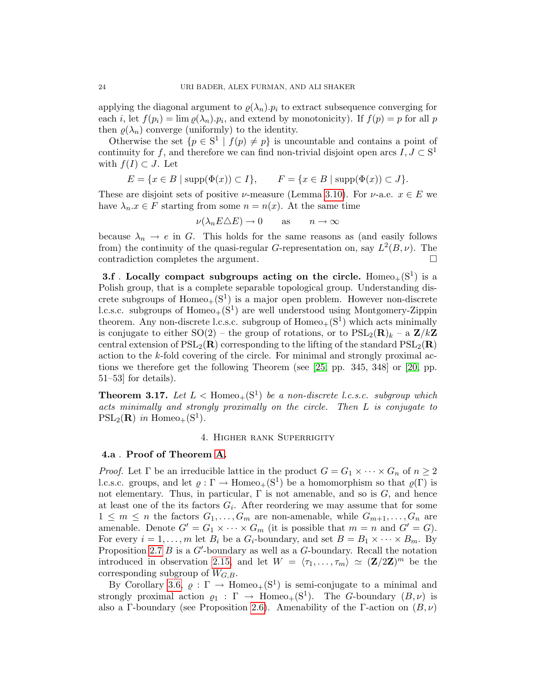applying the diagonal argument to  $\rho(\lambda_n) p_i$  to extract subsequence converging for each *i*, let  $f(p_i) = \lim \varrho(\lambda_n) \cdot p_i$ , and extend by monotonicity). If  $f(p) = p$  for all p then  $\varrho(\lambda_n)$  converge (uniformly) to the identity.

Otherwise the set  $\{p \in S^1 \mid f(p) \neq p\}$  is uncountable and contains a point of continuity for f, and therefore we can find non-trivial disjoint open arcs  $I, J \subset \mathbb{S}^1$ with  $f(I) \subset J$ . Let

$$
E = \{x \in B \mid \text{supp}(\Phi(x)) \subset I\}, \qquad F = \{x \in B \mid \text{supp}(\Phi(x)) \subset J\}.
$$

These are disjoint sets of positive  $\nu$ -measure (Lemma [3.10\)](#page-19-0). For  $\nu$ -a.e.  $x \in E$  we have  $\lambda_n \text{.} x \in F$  starting from some  $n = n(x)$ . At the same time

$$
\nu(\lambda_n E \triangle E) \to 0 \quad \text{as} \quad n \to \infty
$$

because  $\lambda_n \to e$  in G. This holds for the same reasons as (and easily follows from) the continuity of the quasi-regular *G*-representation on, say  $L^2(B,\nu)$ . The contradiction completes the argument.

3.f. Locally compact subgroups acting on the circle. Homeo<sub>+</sub> $(S<sup>1</sup>)$  is a Polish group, that is a complete separable topological group. Understanding discrete subgroups of  $Homeo_+(S^1)$  is a major open problem. However non-discrete l.c.s.c. subgroups of  $Homeo_+(S^1)$  are well understood using Montgomery-Zippin theorem. Any non-discrete l.c.s.c. subgroup of  $Homeo_+(S^1)$  which acts minimally is conjugate to either  $SO(2)$  – the group of rotations, or to  $PSL_2(\mathbf{R})_k$  – a  $\mathbf{Z}/k\mathbf{Z}$ central extension of  $PSL_2(\mathbf{R})$  corresponding to the lifting of the standard  $PSL_2(\mathbf{R})$ action to the k-fold covering of the circle. For minimal and strongly proximal actions we therefore get the following Theorem (see [\[25,](#page-36-21) pp. 345, 348] or [\[20,](#page-36-23) pp. 51–53] for details).

<span id="page-23-1"></span>**Theorem 3.17.** Let  $L <$  Homeo<sub>+</sub>(S<sup>1</sup>) be a non-discrete l.c.s.c. subgroup which acts minimally and strongly proximally on the circle. Then L is conjugate to  $PSL_2(\mathbf{R})$  in Homeo<sub>+</sub>(S<sup>1</sup>).

## 4. Higher rank Superrigity

#### <span id="page-23-0"></span>4.a . Proof of Theorem [A.](#page-2-0)

*Proof.* Let  $\Gamma$  be an irreducible lattice in the product  $G = G_1 \times \cdots \times G_n$  of  $n \geq 2$ l.c.s.c. groups, and let  $\varrho : \Gamma \to \text{Homeo}_+(S^1)$  be a homomorphism so that  $\varrho(\Gamma)$  is not elementary. Thus, in particular,  $\Gamma$  is not amenable, and so is  $G$ , and hence at least one of the its factors  $G_i$ . After reordering we may assume that for some  $1 \leq m \leq n$  the factors  $G_1, \ldots, G_m$  are non-amenable, while  $G_{m+1}, \ldots, G_n$  are amenable. Denote  $G' = G_1 \times \cdots \times G_m$  (it is possible that  $m = n$  and  $G' = G$ ). For every  $i = 1, \ldots, m$  let  $B_i$  be a  $G_i$ -boundary, and set  $B = B_1 \times \cdots \times B_m$ . By Proposition [2.7](#page-8-2)  $B$  is a  $G'$ -boundary as well as a  $G$ -boundary. Recall the notation introduced in observation [2.15,](#page-11-1) and let  $W = \langle \tau_1, \ldots, \tau_m \rangle \simeq (\mathbf{Z}/2\mathbf{Z})^m$  be the corresponding subgroup of  $W_{G,B}$ .

By Corollary [3.6,](#page-17-1)  $\varrho : \Gamma \to \text{Homeo}_+(\mathbb{S}^1)$  is semi-conjugate to a minimal and strongly proximal action  $\varrho_1 : \Gamma \to \text{Homeo}_+(\mathbb{S}^1)$ . The G-boundary  $(B, \nu)$  is also a Γ-boundary (see Proposition [2.6\)](#page-8-0). Amenability of the Γ-action on  $(B, \nu)$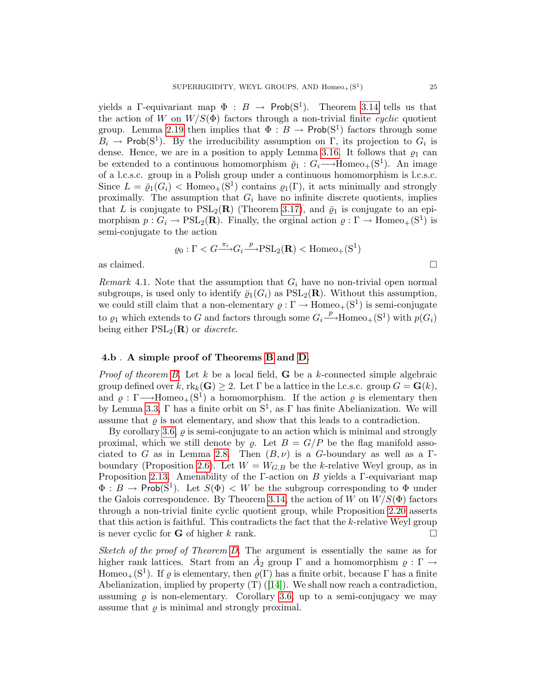yields a  $\Gamma$ -equivariant map  $\Phi : B \to \mathsf{Prob}(\mathbb{S}^1)$ . Theorem [3.14](#page-21-0) tells us that the action of W on  $W/S(\Phi)$  factors through a non-trivial finite cyclic quotient group. Lemma [2.19](#page-13-2) then implies that  $\Phi : B \to \mathsf{Prob}(S^1)$  factors through some  $B_i \to \text{Prob}(S^1)$ . By the irreducibility assumption on  $\Gamma$ , its projection to  $G_i$  is dense. Hence, we are in a position to apply Lemma [3.16.](#page-22-0) It follows that  $\varrho_1$  can be extended to a continuous homomorphism  $\bar{\varrho}_1 : G_i \longrightarrow \text{Homeo}_+(\mathbb{S}^1)$ . An image of a l.c.s.c. group in a Polish group under a continuous homomorphism is l.c.s.c. Since  $L = \overline{\varrho}_1(G_i)$  < Homeo<sub>+</sub>(S<sup>1</sup>) contains  $\varrho_1(\Gamma)$ , it acts minimally and strongly proximally. The assumption that  $G_i$  have no infinite discrete quotients, implies that L is conjugate to  $PSL_2(\mathbf{R})$  (Theorem [3.17\)](#page-23-1), and  $\bar{\varrho}_1$  is conjugate to an epimorphism  $p: G_i \to \text{PSL}_2(\mathbf{R})$ . Finally, the orginal action  $\varrho: \Gamma \to \text{Homeo}_+(\mathbf{S}^1)$  is semi-conjugate to the action

$$
\varrho_0: \Gamma < G \xrightarrow{\pi_i} G_i \xrightarrow{p} \text{PSL}_2(\mathbf{R}) < \text{Homeo}_+(\text{S}^1)
$$

as claimed.  $\hfill \square$ 

*Remark* 4.1. Note that the assumption that  $G_i$  have no non-trivial open normal subgroups, is used only to identify  $\bar{\varrho}_1(G_i)$  as  $PSL_2(\mathbf{R})$ . Without this assumption, we could still claim that a non-elementary  $\rho : \Gamma \to \text{Homeo}_+(\mathbb{S}^1)$  is semi-conjugate to  $\varrho_1$  which extends to G and factors through some  $G_i \stackrel{p}{\longrightarrow} \text{Homeo}_+(\mathbb{S}^1)$  with  $p(G_i)$ being either  $PSL_2(\mathbf{R})$  or *discrete*.

#### 4.b . A simple proof of Theorems [B](#page-3-1) and [D.](#page-4-1)

*Proof of theorem [B.](#page-3-1)* Let k be a local field, **G** be a k-connected simple algebraic group defined over k,  $\text{rk}_k(G) \geq 2$ . Let  $\Gamma$  be a lattice in the l.c.s.c. group  $G = G(k)$ , and  $\varrho : \Gamma \longrightarrow \text{Homeo}_+(S^1)$  a homomorphism. If the action  $\varrho$  is elementary then by Lemma [3.3,](#page-16-2)  $\Gamma$  has a finite orbit on  $S^1$ , as  $\Gamma$  has finite Abelianization. We will assume that  $\rho$  is not elementary, and show that this leads to a contradiction.

By corollary [3.6,](#page-17-1)  $\varrho$  is semi-conjugate to an action which is minimal and strongly proximal, which we still denote by  $\rho$ . Let  $B = G/P$  be the flag manifold asso-ciated to G as in Lemma [2.8.](#page-9-0) Then  $(B, \nu)$  is a G-boundary as well as a Γ-boundary (Proposition [2.6\)](#page-8-0). Let  $W = W_{G,B}$  be the k-relative Weyl group, as in Proposition [2.13.](#page-10-0) Amenability of the Γ-action on  $B$  yields a Γ-equivariant map  $\Phi : B \to \mathsf{Prob}(S^1)$ . Let  $S(\Phi) < W$  be the subgroup corresponding to  $\Phi$  under the Galois correspondence. By Theorem [3.14,](#page-21-0) the action of W on  $W/S(\Phi)$  factors through a non-trivial finite cyclic quotient group, while Proposition [2.20](#page-14-0) asserts that this action is faithful. This contradicts the fact that the  $k$ -relative Weyl group is never cyclic for **G** of higher k rank.  $\square$ 

Sketch of the proof of Theorem [D.](#page-4-1) The argument is essentially the same as for higher rank lattices. Start from an  $\tilde{A}_2$  group  $\Gamma$  and a homomorphism  $\rho : \Gamma \to$ Homeo<sub>+</sub>(S<sup>1</sup>). If  $\varrho$  is elementary, then  $\varrho(\Gamma)$  has a finite orbit, because  $\Gamma$  has a finite Abelianization,implied by property  $(T)$  ([\[14\]](#page-36-13)). We shall now reach a contradiction, assuming  $\rho$  is non-elementary. Corollary [3.6,](#page-17-1) up to a semi-conjugacy we may assume that  $\rho$  is minimal and strongly proximal.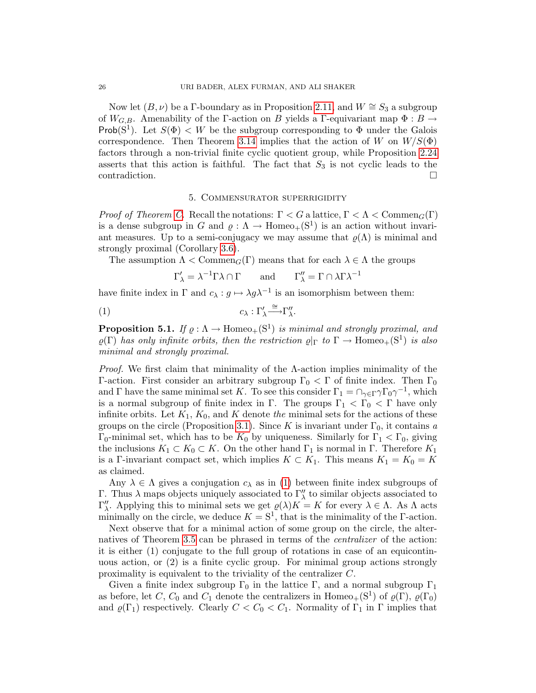Now let  $(B, \nu)$  be a Γ-boundary as in Proposition [2.11,](#page-10-1) and  $W \cong S_3$  a subgroup of  $W_{G,B}$ . Amenability of the Γ-action on B yields a Γ-equivariant map  $\Phi : B \to$ Prob(S<sup>1</sup>). Let  $S(\Phi) < W$  be the subgroup corresponding to  $\Phi$  under the Galois correspondence. Then Theorem [3.14](#page-21-0) implies that the action of W on  $W/S(\Phi)$ factors through a non-trivial finite cyclic quotient group, while Proposition [2.24](#page-15-1) asserts that this action is faithful. The fact that  $S_3$  is not cyclic leads to the contradiction.

### 5. Commensurator superrigidity

<span id="page-25-0"></span>*Proof of Theorem [C.](#page-3-2)* Recall the notations:  $\Gamma < G$  a lattice,  $\Gamma < \Lambda < \text{Commen}_G(\Gamma)$ is a dense subgroup in G and  $\varrho : \Lambda \to \text{Homeo}_+(\mathbb{S}^1)$  is an action without invariant measures. Up to a semi-conjugacy we may assume that  $\rho(\Lambda)$  is minimal and strongly proximal (Corollary [3.6\)](#page-17-1).

The assumption  $\Lambda < \text{Commen}_G(\Gamma)$  means that for each  $\lambda \in \Lambda$  the groups

<span id="page-25-1"></span> $\Gamma'_{\lambda} = \lambda^{-1} \Gamma \lambda \cap \Gamma$  and  $\Gamma''_{\lambda} = \Gamma \cap \lambda \Gamma \lambda^{-1}$ 

have finite index in  $\Gamma$  and  $c_{\lambda} : g \mapsto \lambda g \lambda^{-1}$  is an isomorphism between them:

$$
(1) \t\t\t c_{\lambda} : \Gamma'_{\lambda} \xrightarrow{\cong} \Gamma''_{\lambda}.
$$

**Proposition 5.1.** If  $\varrho : \Lambda \to \text{Homeo}_+(\mathbf{S}^1)$  is minimal and strongly proximal, and  $\varrho(\Gamma)$  has only infinite orbits, then the restriction  $\varrho|_{\Gamma}$  to  $\Gamma \to \text{Homeo}_+(\mathbb{S}^1)$  is also minimal and strongly proximal.

Proof. We first claim that minimality of the Λ-action implies minimality of the Γ-action. First consider an arbitrary subgroup  $\Gamma_0 < \Gamma$  of finite index. Then  $\Gamma_0$ and Γ have the same minimal set K. To see this consider  $\Gamma_1 = \cap_{\gamma \in \Gamma} \gamma \Gamma_0 \gamma^{-1}$ , which is a normal subgroup of finite index in Γ. The groups  $\Gamma_1 < \Gamma_0 < \Gamma$  have only infinite orbits. Let  $K_1, K_0$ , and K denote the minimal sets for the actions of these groups on the circle (Proposition [3.1\)](#page-16-3). Since K is invariant under  $\Gamma_0$ , it contains a Γ<sub>0</sub>-minimal set, which has to be  $K_0$  by uniqueness. Similarly for  $\Gamma_1 < \Gamma_0$ , giving the inclusions  $K_1 \subset K_0 \subset K$ . On the other hand  $\Gamma_1$  is normal in  $\Gamma$ . Therefore  $K_1$ is a Γ-invariant compact set, which implies  $K \subset K_1$ . This means  $K_1 = K_0 = K$ as claimed.

Any  $\lambda \in \Lambda$  gives a conjugation  $c_{\lambda}$  as in [\(1\)](#page-25-1) between finite index subgroups of Γ. Thus  $\lambda$  maps objects uniquely associated to  $\Gamma''_{\lambda}$  to similar objects associated to Γ'', Applying this to minimal sets we get  $\rho(\lambda)K = K$  for every  $\lambda \in \Lambda$ . As  $\Lambda$  acts minimally on the circle, we deduce  $K = S^1$ , that is the minimality of the  $\Gamma$ -action.

Next observe that for a minimal action of some group on the circle, the alternatives of Theorem [3.5](#page-17-0) can be phrased in terms of the centralizer of the action: it is either (1) conjugate to the full group of rotations in case of an equicontinuous action, or (2) is a finite cyclic group. For minimal group actions strongly proximality is equivalent to the triviality of the centralizer C.

Given a finite index subgroup  $\Gamma_0$  in the lattice  $\Gamma$ , and a normal subgroup  $\Gamma_1$ as before, let C,  $C_0$  and  $C_1$  denote the centralizers in Homeo<sub>+</sub>(S<sup>1</sup>) of  $\varrho(\Gamma)$ ,  $\varrho(\Gamma_0)$ and  $\varrho(\Gamma_1)$  respectively. Clearly  $C < C_0 < C_1$ . Normality of  $\Gamma_1$  in  $\Gamma$  implies that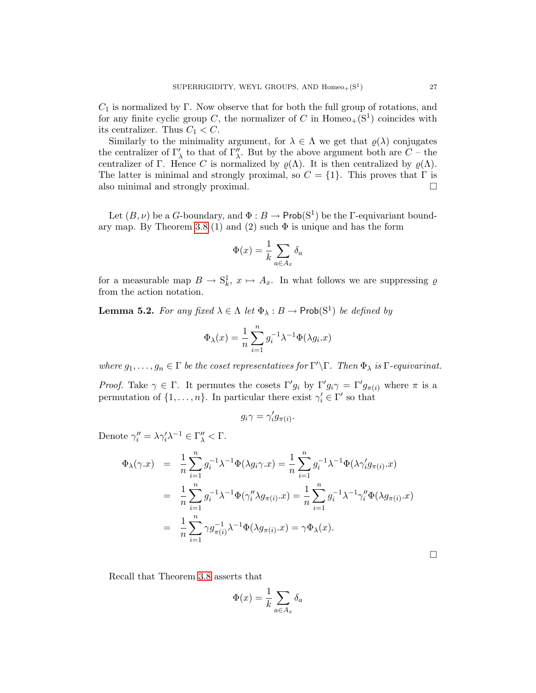$C_1$  is normalized by Γ. Now observe that for both the full group of rotations, and for any finite cyclic group C, the normalizer of C in  $Homeo_+(S^1)$  coincides with its centralizer. Thus  $C_1 < C$ .

Similarly to the minimality argument, for  $\lambda \in \Lambda$  we get that  $\varrho(\lambda)$  conjugates the centralizer of  $\Gamma'_\lambda$  to that of  $\Gamma''_\lambda$ . But by the above argument both are  $C$  – the centralizer of Γ. Hence C is normalized by  $\varrho(\Lambda)$ . It is then centralized by  $\varrho(\Lambda)$ . The latter is minimal and strongly proximal, so  $C = \{1\}$ . This proves that  $\Gamma$  is also minimal and strongly proximal.

Let  $(B, \nu)$  be a *G*-boundary, and  $\Phi : B \to \mathsf{Prob}(S^1)$  be the *Γ*-equivariant bound-ary map. By Theorem [3.8](#page-18-0) (1) and (2) such  $\Phi$  is unique and has the form

$$
\Phi(x) = \frac{1}{k} \sum_{a \in A_x} \delta_a
$$

for a measurable map  $B \to \mathcal{S}_k^1$ ,  $x \mapsto A_x$ . In what follows we are suppressing  $\varrho$ from the action notation.

**Lemma 5.2.** For any fixed  $\lambda \in \Lambda$  let  $\Phi_{\lambda}: B \to \mathsf{Prob}(\mathbb{S}^1)$  be defined by

$$
\Phi_{\lambda}(x) = \frac{1}{n} \sum_{i=1}^{n} g_i^{-1} \lambda^{-1} \Phi(\lambda g_i \cdot x)
$$

where  $g_1, \ldots, g_n \in \Gamma$  be the coset representatives for  $\Gamma' \backslash \Gamma$ . Then  $\Phi_{\lambda}$  is  $\Gamma$ -equivarinat.

*Proof.* Take  $\gamma \in \Gamma$ . It permutes the cosets  $\Gamma' g_i$  by  $\Gamma' g_i \gamma = \Gamma' g_{\pi(i)}$  where  $\pi$  is a permutation of  $\{1, \ldots, n\}$ . In particular there exist  $\gamma_i' \in \Gamma'$  so that

$$
g_i \gamma = \gamma_i' g_{\pi(i)}.
$$

Denote  $\gamma_i'' = \lambda \gamma_i' \lambda^{-1} \in \Gamma_{\lambda}'' < \Gamma$ .

$$
\Phi_{\lambda}(\gamma.x) = \frac{1}{n} \sum_{i=1}^{n} g_{i}^{-1} \lambda^{-1} \Phi(\lambda g_{i} \gamma.x) = \frac{1}{n} \sum_{i=1}^{n} g_{i}^{-1} \lambda^{-1} \Phi(\lambda \gamma'_{i} g_{\pi(i)}.x)
$$
  
\n
$$
= \frac{1}{n} \sum_{i=1}^{n} g_{i}^{-1} \lambda^{-1} \Phi(\gamma''_{i} \lambda g_{\pi(i)}.x) = \frac{1}{n} \sum_{i=1}^{n} g_{i}^{-1} \lambda^{-1} \gamma''_{i} \Phi(\lambda g_{\pi(i)}.x)
$$
  
\n
$$
= \frac{1}{n} \sum_{i=1}^{n} \gamma g_{\pi(i)}^{-1} \lambda^{-1} \Phi(\lambda g_{\pi(i)}.x) = \gamma \Phi_{\lambda}(x).
$$

 $\Box$ 

Recall that Theorem [3.8](#page-18-0) asserts that

$$
\Phi(x) = \frac{1}{k} \sum_{a \in A_x} \delta_a
$$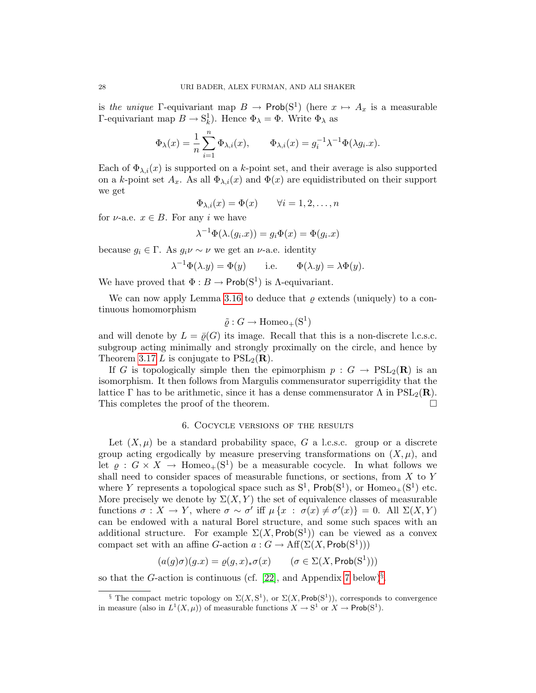is the unique  $\Gamma$ -equivariant map  $B \to \mathsf{Prob}(S^1)$  (here  $x \mapsto A_x$  is a measurable Γ-equivariant map  $B \to \mathcal{S}_k^1$ . Hence  $\Phi_\lambda = \Phi$ . Write  $\Phi_\lambda$  as

$$
\Phi_{\lambda}(x) = \frac{1}{n} \sum_{i=1}^{n} \Phi_{\lambda,i}(x), \qquad \Phi_{\lambda,i}(x) = g_i^{-1} \lambda^{-1} \Phi(\lambda g_i \cdot x).
$$

Each of  $\Phi_{\lambda,i}(x)$  is supported on a k-point set, and their average is also supported on a k-point set  $A_x$ . As all  $\Phi_{\lambda,i}(x)$  and  $\Phi(x)$  are equidistributed on their support we get

$$
\Phi_{\lambda,i}(x) = \Phi(x) \qquad \forall i = 1, 2, \dots, n
$$

for  $\nu$ -a.e.  $x \in B$ . For any i we have

$$
\lambda^{-1}\Phi(\lambda.(g_i.x)) = g_i\Phi(x) = \Phi(g_i.x)
$$

because  $g_i \in \Gamma$ . As  $g_i \nu \sim \nu$  we get an  $\nu$ -a.e. identity

$$
\lambda^{-1}\Phi(\lambda.y) = \Phi(y)
$$
 i.e.  $\Phi(\lambda.y) = \lambda\Phi(y)$ .

We have proved that  $\Phi : B \to \mathsf{Prob}(\mathbf{S}^1)$  is  $\Lambda$ -equivariant.

We can now apply Lemma [3.16](#page-22-0) to deduce that  $\rho$  extends (uniquely) to a continuous homomorphism

$$
\tilde{\varrho}: G \to \text{Homeo}_+(\mathbf{S}^1)
$$

and will denote by  $L = \overline{\varrho}(G)$  its image. Recall that this is a non-discrete l.c.s.c. subgroup acting minimally and strongly proximally on the circle, and hence by Theorem [3.17](#page-23-1) L is conjugate to  $PSL_2(\mathbf{R})$ .

If G is topologically simple then the epimorphism  $p : G \to \text{PSL}_2(\mathbf{R})$  is an isomorphism. It then follows from Margulis commensurator superrigidity that the lattice Γ has to be arithmetic, since it has a dense commensurator  $\Lambda$  in PSL<sub>2</sub>(R). This completes the proof of the theorem.

#### 6. Cocycle versions of the results

<span id="page-27-0"></span>Let  $(X, \mu)$  be a standard probability space, G a l.c.s.c. group or a discrete group acting ergodically by measure preserving transformations on  $(X, \mu)$ , and let  $\varrho : G \times X \to \text{Homeo}_+(\mathbb{S}^1)$  be a measurable cocycle. In what follows we shall need to consider spaces of measurable functions, or sections, from  $X$  to  $Y$ where Y represents a topological space such as  $S^1$ ,  $\text{Prob}(S^1)$ , or  $\text{Homeo}_+(S^1)$  etc. More precisely we denote by  $\Sigma(X, Y)$  the set of equivalence classes of measurable functions  $\sigma: X \to Y$ , where  $\sigma \sim \sigma'$  iff  $\mu \{x : \sigma(x) \neq \sigma'(x)\} = 0$ . All  $\Sigma(X, Y)$ can be endowed with a natural Borel structure, and some such spaces with an additional structure. For example  $\Sigma(X, \text{Prob}(S^1))$  can be viewed as a convex compact set with an affine  $G$ -action  $a: G \to \text{Aff}(\Sigma(X, \text{Prob}(S^1)))$ 

$$
(a(g)\sigma)(g.x) = \varrho(g,x)_*\sigma(x) \qquad (\sigma \in \Sigma(X,\mathsf{Prob}(S^1)))
$$

so that the G-action is continuous (cf. [\[22\]](#page-36-24), and Appendix [7](#page-32-0) below)<sup>[§](#page-27-1)</sup>.

<span id="page-27-2"></span><span id="page-27-1"></span><sup>&</sup>lt;sup>§</sup> The compact metric topology on  $\Sigma(X, S^1)$ , or  $\Sigma(X, \text{Prob}(S^1))$ , corresponds to convergence in measure (also in  $L^1(X,\mu)$ ) of measurable functions  $X \to S^1$  or  $X \to \text{Prob}(S^1)$ .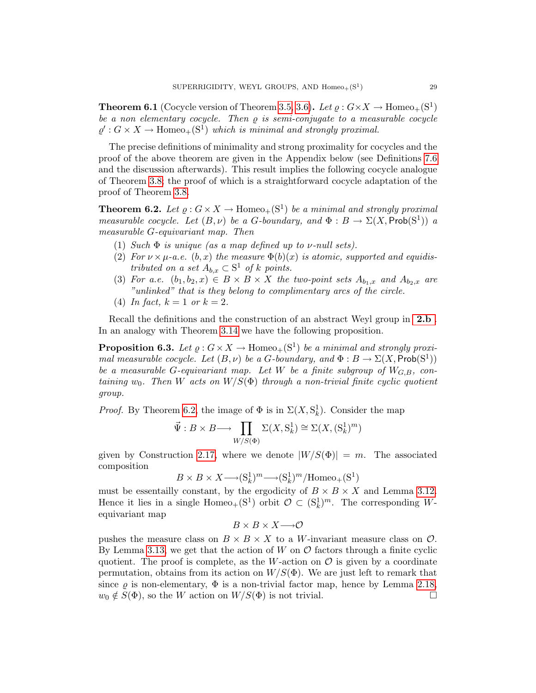**Theorem 6.1** (Cocycle version of Theorem [3.5,](#page-17-0) [3.6\)](#page-17-1). Let  $\varrho$  :  $G \times X \to \text{Homeo}_+(\mathbb{S}^1)$ be a non elementary cocycle. Then  $\rho$  is semi-conjugate to a measurable cocycle  $\varrho': G \times X \to \text{Homeo}_+(\mathbf{S}^1)$  which is minimal and strongly proximal.

The precise definitions of minimality and strong proximality for cocycles and the proof of the above theorem are given in the Appendix below (see Definitions [7.6](#page-33-0) and the discussion afterwards). This result implies the following cocycle analogue of Theorem [3.8;](#page-18-0) the proof of which is a straightforward cocycle adaptation of the proof of Theorem [3.8.](#page-18-0)

<span id="page-28-0"></span>**Theorem 6.2.** Let  $\varrho$ :  $G \times X \to \text{Homeo}_+(\mathbb{S}^1)$  be a minimal and strongly proximal measurable cocycle. Let  $(B, \nu)$  be a G-boundary, and  $\Phi : B \to \Sigma(X, \text{Prob}(S^1))$  a measurable G-equivariant map. Then

- (1) Such  $\Phi$  is unique (as a map defined up to  $\nu$ -null sets).
- (2) For  $\nu \times \mu$ -a.e.  $(b, x)$  the measure  $\Phi(b)(x)$  is atomic, supported and equidistributed on a set  $A_{b,x} \subset \mathbf{S}^1$  of k points.
- (3) For a.e.  $(b_1, b_2, x) \in B \times B \times X$  the two-point sets  $A_{b_1,x}$  and  $A_{b_2,x}$  are "unlinked" that is they belong to complimentary arcs of the circle.
- (4) In fact,  $k = 1$  or  $k = 2$ .

Recall the definitions and the construction of an abstract Weyl group in [2.b](#page-10-2) . In an analogy with Theorem [3.14](#page-21-0) we have the following proposition.

<span id="page-28-1"></span>**Proposition 6.3.** Let  $\varrho: G \times X \to \text{Homeo}_+(\mathbb{S}^1)$  be a minimal and strongly proximal measurable cocycle. Let  $(B, \nu)$  be a G-boundary, and  $\Phi : B \to \Sigma(X, \text{Prob}(S^1))$ be a measurable G-equivariant map. Let W be a finite subgroup of  $W_{G,B}$ , containing w<sub>0</sub>. Then W acts on  $W/S(\Phi)$  through a non-trivial finite cyclic quotient group.

*Proof.* By Theorem [6.2,](#page-28-0) the image of  $\Phi$  is in  $\Sigma(X, S_k^1)$ . Consider the map

$$
\vec{\Psi}: B \times B \longrightarrow \prod_{W/S(\Phi)} \Sigma(X, \mathcal{S}_k^1) \cong \Sigma(X, (\mathcal{S}_k^1)^m)
$$

given by Construction [2.17,](#page-13-0) where we denote  $|W/S(\Phi)| = m$ . The associated composition

$$
B \times B \times X {\longrightarrow} (\mathbf{S}^1_k)^m {\longrightarrow} (\mathbf{S}^1_k)^m / \mathrm{Homeo}_+(\mathbf{S}^1)
$$

must be essentailly constant, by the ergodicity of  $B \times B \times X$  and Lemma [3.12.](#page-21-1) Hence it lies in a single  $\text{Homeo}_+(\mathbf{S}^1)$  orbit  $\mathcal{O} \subset (\mathbf{S}_k^1)^m$ . The corresponding Wequivariant map

$$
B \times B \times X \longrightarrow O
$$

pushes the measure class on  $B \times B \times X$  to a W-invariant measure class on  $\mathcal{O}$ . By Lemma [3.13,](#page-21-2) we get that the action of W on  $\mathcal O$  factors through a finite cyclic quotient. The proof is complete, as the W-action on  $\mathcal O$  is given by a coordinate permutation, obtains from its action on  $W/S(\Phi)$ . We are just left to remark that since  $\rho$  is non-elementary,  $\Phi$  is a non-trivial factor map, hence by Lemma [2.18,](#page-13-1)  $w_0 \notin S(\Phi)$ , so the W action on  $W/S(\Phi)$  is not trivial.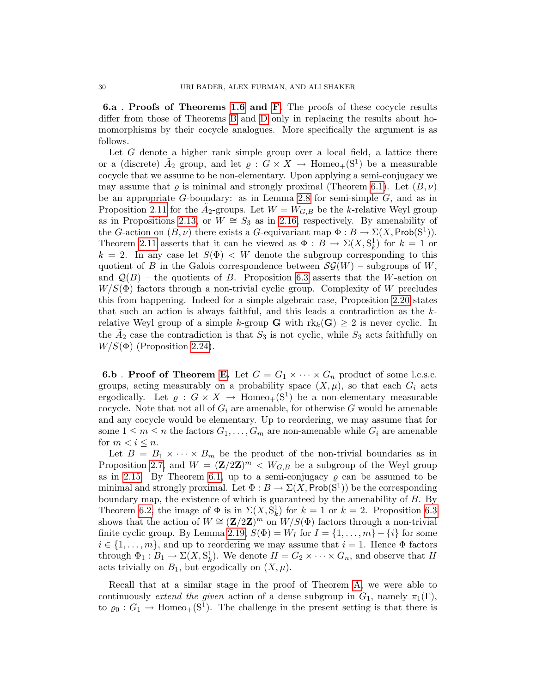6.a . Proofs of Theorems [1.6](#page-5-2) and [F.](#page-5-1) The proofs of these cocycle results differ from those of Theorems [B](#page-3-1) and [D](#page-4-1) only in replacing the results about homomorphisms by their cocycle analogues. More specifically the argument is as follows.

Let G denote a higher rank simple group over a local field, a lattice there or a (discrete)  $\tilde{A}_2$  group, and let  $\varrho: G \times X \to \text{Homeo}_+(\mathbb{S}^1)$  be a measurable cocycle that we assume to be non-elementary. Upon applying a semi-conjugacy we may assume that  $\rho$  is minimal and strongly proximal (Theorem [6.1\)](#page-27-2). Let  $(B, \nu)$ be an appropriate G-boundary: as in Lemma [2.8](#page-9-0) for semi-simple  $G$ , and as in Proposition [2.11](#page-10-1) for the  $\tilde{A}_2$ -groups. Let  $W = W_{G,B}$  be the k-relative Weyl group as in Propositions [2.13,](#page-10-0) or  $W \cong S_3$  as in [2.16,](#page-12-0) respectively. By amenability of the G-action on  $(B, \nu)$  there exists a G-equivariant map  $\Phi : B \to \Sigma(X, \text{Prob}(S^1)).$ Theorem [2.11](#page-10-1) asserts that it can be viewed as  $\Phi : B \to \Sigma(X, S^1_k)$  for  $k = 1$  or  $k = 2$ . In any case let  $S(\Phi) < W$  denote the subgroup corresponding to this quotient of B in the Galois correspondence between  $\mathcal{SG}(W)$  – subgroups of W, and  $\mathcal{Q}(B)$  – the quotients of B. Proposition [6.3](#page-28-1) asserts that the W-action on  $W/S(\Phi)$  factors through a non-trivial cyclic group. Complexity of W precludes this from happening. Indeed for a simple algebraic case, Proposition [2.20](#page-14-0) states that such an action is always faithful, and this leads a contradiction as the krelative Weyl group of a simple k-group **G** with  $rk_k(G) \geq 2$  is never cyclic. In the  $\tilde{A}_2$  case the contradiction is that  $S_3$  is not cyclic, while  $S_3$  acts faithfully on  $W/S(\Phi)$  (Proposition [2.24\)](#page-15-1).

**6.b** . Proof of Theorem [E.](#page-4-0) Let  $G = G_1 \times \cdots \times G_n$  product of some l.c.s.c. groups, acting measurably on a probability space  $(X, \mu)$ , so that each  $G_i$  acts ergodically. Let  $\varrho : G \times X \to \text{Homeo}_+(S^1)$  be a non-elementary measurable cocycle. Note that not all of  $G_i$  are amenable, for otherwise G would be amenable and any cocycle would be elementary. Up to reordering, we may assume that for some  $1 \leq m \leq n$  the factors  $G_1, \ldots, G_m$  are non-amenable while  $G_i$  are amenable for  $m < i \leq n$ .

Let  $B = B_1 \times \cdots \times B_m$  be the product of the non-trivial boundaries as in Proposition [2.7,](#page-8-2) and  $W = (\mathbf{Z}/2\mathbf{Z})^m < W_{G,B}$  be a subgroup of the Weyl group as in [2.15.](#page-11-1) By Theorem [6.1,](#page-27-2) up to a semi-conjugacy  $\rho$  can be assumed to be minimal and strongly proximal. Let  $\Phi : B \to \Sigma(X, \mathsf{Prob}(S^1))$  be the corresponding boundary map, the existence of which is guaranteed by the amenability of B. By Theorem [6.2,](#page-28-0) the image of  $\Phi$  is in  $\Sigma(X, S_k^1)$  for  $k = 1$  or  $k = 2$ . Proposition [6.3](#page-28-1) shows that the action of  $W \cong (\mathbf{Z}/2\mathbf{Z})^m$  on  $W/S(\Phi)$  factors through a non-trivial finite cyclic group. By Lemma [2.19,](#page-13-2)  $S(\Phi) = W_I$  for  $I = \{1, \ldots, m\} - \{i\}$  for some  $i \in \{1, \ldots, m\}$ , and up to reordering we may assume that  $i = 1$ . Hence  $\Phi$  factors through  $\Phi_1: B_1 \to \Sigma(X, \mathcal{S}_k^1)$ . We denote  $H = G_2 \times \cdots \times G_n$ , and observe that H acts trivially on  $B_1$ , but ergodically on  $(X, \mu)$ .

Recall that at a similar stage in the proof of Theorem [A,](#page-2-0) we were able to continuously extend the given action of a dense subgroup in  $G_1$ , namely  $\pi_1(\Gamma)$ , to  $\varrho_0: G_1 \to \text{Homeo}_+(\mathbf{S}^1)$ . The challenge in the present setting is that there is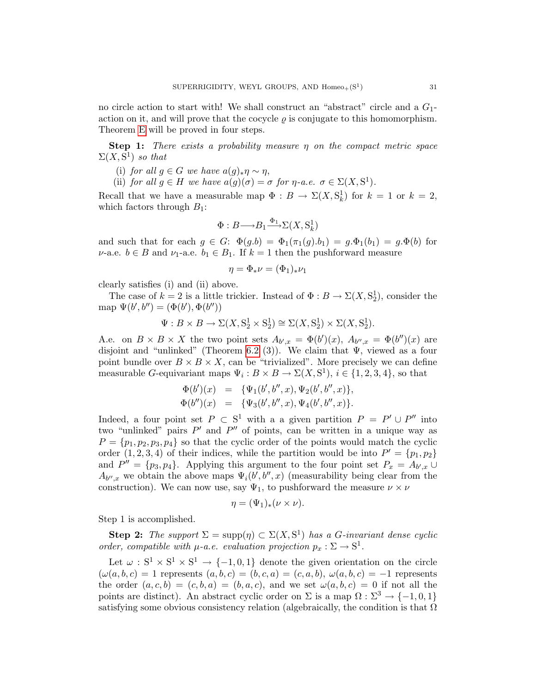no circle action to start with! We shall construct an "abstract" circle and a  $G_1$ action on it, and will prove that the cocycle  $\rho$  is conjugate to this homomorphism. Theorem [E](#page-4-0) will be proved in four steps.

**Step 1:** There exists a probability measure  $\eta$  on the compact metric space  $\Sigma(X, S^1)$  so that

(i) for all  $g \in G$  we have  $a(g)_*\eta \sim \eta$ ,

(ii) for all  $g \in H$  we have  $a(g)(\sigma) = \sigma$  for  $\eta$ -a.e.  $\sigma \in \Sigma(X, S^1)$ .

Recall that we have a measurable map  $\Phi : B \to \Sigma(X, S^1_k)$  for  $k = 1$  or  $k = 2$ , which factors through  $B_1$ :

$$
\Phi: B \longrightarrow B_1 \xrightarrow{\Phi_1} \Sigma(X, S^1_k)
$$

and such that for each  $g \in G$ :  $\Phi(g.b) = \Phi_1(\pi_1(g).b_1) = g.\Phi_1(b_1) = g.\Phi(b)$  for  $\nu$ -a.e.  $b \in B$  and  $\nu_1$ -a.e.  $b_1 \in B_1$ . If  $k = 1$  then the pushforward measure

$$
\eta = \Phi_* \nu = (\Phi_1)_* \nu_1
$$

clearly satisfies (i) and (ii) above.

The case of  $k = 2$  is a little trickier. Instead of  $\Phi : B \to \Sigma(X, \mathbb{S}_2^1)$ , consider the map  $\Psi(b', b'') = (\Phi(b'), \Phi(b''))$ 

$$
\Psi: B \times B \to \Sigma(X, S_2^1 \times S_2^1) \cong \Sigma(X, S_2^1) \times \Sigma(X, S_2^1).
$$

A.e. on  $B \times B \times X$  the two point sets  $A_{b',x} = \Phi(b')(x)$ ,  $A_{b'',x} = \Phi(b'')(x)$  are disjoint and "unlinked" (Theorem [6.2](#page-28-0) (3)). We claim that  $\Psi$ , viewed as a four point bundle over  $B \times B \times X$ , can be "trivialized". More precisely we can define measurable G-equivariant maps  $\Psi_i : B \times B \to \Sigma(X, S^1), i \in \{1, 2, 3, 4\}$ , so that

$$
\Phi(b')(x) = \{\Psi_1(b',b'',x), \Psi_2(b',b'',x)\}, \n\Phi(b'')(x) = \{\Psi_3(b',b'',x), \Psi_4(b',b'',x)\}.
$$

Indeed, a four point set  $P \subset S^1$  with a a given partition  $P = P' \cup P''$  into two "unlinked" pairs  $P'$  and  $P''$  of points, can be written in a unique way as  $P = \{p_1, p_2, p_3, p_4\}$  so that the cyclic order of the points would match the cyclic order  $(1, 2, 3, 4)$  of their indices, while the partition would be into  $P' = \{p_1, p_2\}$ and  $P'' = \{p_3, p_4\}$ . Applying this argument to the four point set  $P_x = A_{b',x}$  $A_{b'',x}$  we obtain the above maps  $\Psi_i(b',b'',x)$  (measurability being clear from the construction). We can now use, say  $\Psi_1$ , to pushforward the measure  $\nu \times \nu$ 

$$
\eta = (\Psi_1)_*(\nu \times \nu).
$$

Step 1 is accomplished.

**Step 2:** The support  $\Sigma = \text{supp}(\eta) \subset \Sigma(X, S^1)$  has a G-invariant dense cyclic order, compatible with  $\mu$ -a.e. evaluation projection  $p_x : \Sigma \to \mathbb{S}^1$ .

Let  $\omega : S^1 \times S^1 \times S^1 \to \{-1,0,1\}$  denote the given orientation on the circle  $(\omega(a, b, c) = 1$  represents  $(a, b, c) = (b, c, a) = (c, a, b), \omega(a, b, c) = -1$  represents the order  $(a, c, b) = (c, b, a) = (b, a, c)$ , and we set  $\omega(a, b, c) = 0$  if not all the points are distinct). An abstract cyclic order on  $\Sigma$  is a map  $\Omega : \Sigma^3 \to \{-1, 0, 1\}$ satisfying some obvious consistency relation (algebraically, the condition is that  $\Omega$ )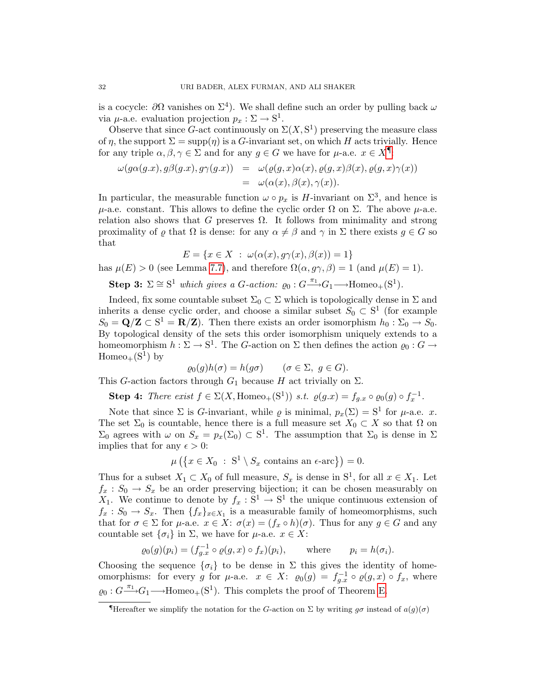is a cocycle:  $\partial\Omega$  vanishes on  $\Sigma^4$ ). We shall define such an order by pulling back  $\omega$ via  $\mu$ -a.e. evaluation projection  $p_x : \Sigma \to \mathbb{S}^1$ .

Observe that since G-act continuously on  $\Sigma(X, S^1)$  preserving the measure class of  $\eta$ , the support  $\Sigma = \text{supp}(\eta)$  is a G-invariant set, on which H acts trivially. Hence for any triple  $\alpha, \beta, \gamma \in \Sigma$  and for any  $g \in G$  we have for  $\mu$ -a.e.  $x \in X^{\P}$ :

$$
\begin{array}{rcl}\n\omega(g\alpha(g.x),g\beta(g.x),g\gamma(g.x)) & = & \omega(\varrho(g,x)\alpha(x),\varrho(g,x)\beta(x),\varrho(g,x)\gamma(x)) \\
& = & \omega(\alpha(x),\beta(x),\gamma(x)).\n\end{array}
$$

In particular, the measurable function  $\omega \circ p_x$  is H-invariant on  $\Sigma^3$ , and hence is  $\mu$ -a.e. constant. This allows to define the cyclic order  $\Omega$  on  $\Sigma$ . The above  $\mu$ -a.e. relation also shows that G preserves  $\Omega$ . It follows from minimality and strong proximality of  $\varrho$  that  $\Omega$  is dense: for any  $\alpha \neq \beta$  and  $\gamma$  in  $\Sigma$  there exists  $g \in G$  so that

$$
E = \{x \in X : \omega(\alpha(x), g\gamma(x), \beta(x)) = 1\}
$$

has  $\mu(E) > 0$  (see Lemma [7.7\)](#page-33-1), and therefore  $\Omega(\alpha, g\gamma, \beta) = 1$  (and  $\mu(E) = 1$ ).

Step 3:  $\Sigma \cong S^1$  which gives a G-action:  $\varrho_0 : G \longrightarrow^{\pi_1} G_1 \longrightarrow \text{Homeo}_+(\mathbb{S}^1)$ .

Indeed, fix some countable subset  $\Sigma_0 \subset \Sigma$  which is topologically dense in  $\Sigma$  and inherits a dense cyclic order, and choose a similar subset  $S_0 \subset S^1$  (for example  $S_0 = \mathbf{Q}/\mathbf{Z} \subset S^1 = \mathbf{R}/\mathbf{Z}$ . Then there exists an order isomorphism  $h_0 : \Sigma_0 \to S_0$ . By topological density of the sets this order isomorphism uniquely extends to a homeomorphism  $h: \Sigma \to \mathbb{S}^1$ . The G-action on  $\Sigma$  then defines the action  $\varrho_0: G \to$  $Homeo_+(S^1)$  by

$$
\varrho_0(g)h(\sigma) = h(g\sigma) \qquad (\sigma \in \Sigma, \ g \in G).
$$

This G-action factors through  $G_1$  because H act trivially on  $\Sigma$ .

Step 4: There exist  $f \in \Sigma(X, \text{Homeo}_+(\mathbf{S}^1))$  s.t.  $\varrho(g.x) = f_{g.x} \circ \varrho_0(g) \circ f_x^{-1}$ .

Note that since  $\Sigma$  is *G*-invariant, while  $\varrho$  is minimal,  $p_x(\Sigma) = S^1$  for  $\mu$ -a.e. x. The set  $\Sigma_0$  is countable, hence there is a full measure set  $X_0 \subset X$  so that  $\Omega$  on  $\Sigma_0$  agrees with  $\omega$  on  $S_x = p_x(\Sigma_0) \subset \mathbf{S}^1$ . The assumption that  $\Sigma_0$  is dense in  $\Sigma$ implies that for any  $\epsilon > 0$ :

 $\mu\left(\left\{x \in X_0 \ : \ S^1 \setminus S_x \text{ contains an } \epsilon\text{-arc}\right\}\right) = 0.$ 

Thus for a subset  $X_1 \subset X_0$  of full measure,  $S_x$  is dense in  $S^1$ , for all  $x \in X_1$ . Let  $f_x: S_0 \to S_x$  be an order preserving bijection; it can be chosen measurably on  $X_1$ . We continue to denote by  $f_x: S^1 \to S^1$  the unique continuous extension of  $f_x: S_0 \to S_x$ . Then  $\{f_x\}_{x \in X_1}$  is a measurable family of homeomorphisms, such that for  $\sigma \in \Sigma$  for  $\mu$ -a.e.  $x \in X$ :  $\sigma(x) = (f_x \circ h)(\sigma)$ . Thus for any  $g \in G$  and any countable set  $\{\sigma_i\}$  in  $\Sigma$ , we have for  $\mu$ -a.e.  $x \in X$ :

$$
\varrho_0(g)(p_i) = (f_{g.x}^{-1} \circ \varrho(g, x) \circ f_x)(p_i), \quad \text{where} \quad p_i = h(\sigma_i).
$$

Choosing the sequence  $\{\sigma_i\}$  to be dense in  $\Sigma$  this gives the identity of homeomorphisms: for every g for  $\mu$ -a.e.  $x \in X$ :  $\varrho_0(g) = f_{g.x}^{-1} \circ \varrho(g,x) \circ f_x$ , where  $\varrho_0: G \longrightarrow^{\pi_1} G_1 \longrightarrow \text{Homeo}_+(\mathbf{S}^1)$ . This complets the proof of Theorem [E.](#page-4-0)

<span id="page-31-0"></span><sup>&</sup>lt;sup>¶</sup>Hereafter we simplify the notation for the G-action on Σ by writing gσ instead of  $a(g)(\sigma)$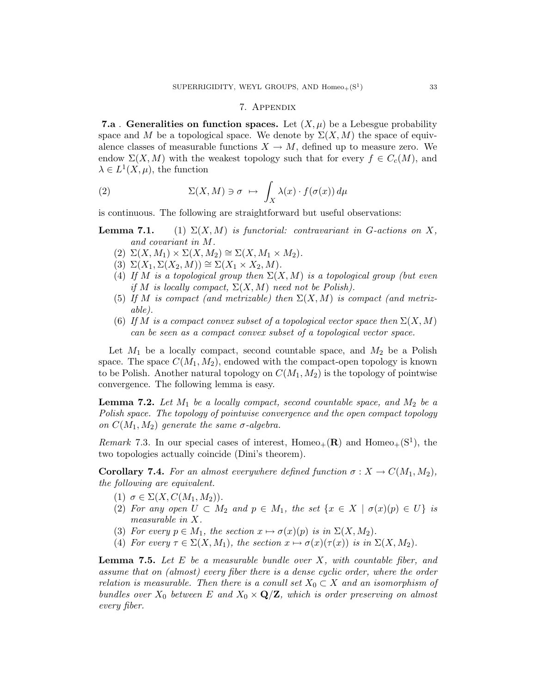#### 7. Appendix

<span id="page-32-0"></span>**7.a** . Generalities on function spaces. Let  $(X, \mu)$  be a Lebesgue probability space and M be a topological space. We denote by  $\Sigma(X, M)$  the space of equivalence classes of measurable functions  $X \to M$ , defined up to measure zero. We endow  $\Sigma(X, M)$  with the weakest topology such that for every  $f \in C_c(M)$ , and  $\lambda \in L^1(X, \mu)$ , the function

<span id="page-32-3"></span>(2) 
$$
\Sigma(X,M) \ni \sigma \mapsto \int_X \lambda(x) \cdot f(\sigma(x)) d\mu
$$

is continuous. The following are straightforward but useful observations:

**Lemma 7.1.** (1)  $\Sigma(X, M)$  is functorial: contravariant in G-actions on X, and covariant in M.

- (2)  $\Sigma(X, M_1) \times \Sigma(X, M_2) \cong \Sigma(X, M_1 \times M_2)$ .
- (3)  $\Sigma(X_1, \Sigma(X_2, M)) \cong \Sigma(X_1 \times X_2, M).$
- (4) If M is a topological group then  $\Sigma(X, M)$  is a topological group (but even if M is locally compact,  $\Sigma(X, M)$  need not be Polish).
- (5) If M is compact (and metrizable) then  $\Sigma(X, M)$  is compact (and metrizable).
- (6) If M is a compact convex subset of a topological vector space then  $\Sigma(X, M)$ can be seen as a compact convex subset of a topological vector space.

Let  $M_1$  be a locally compact, second countable space, and  $M_2$  be a Polish space. The space  $C(M_1, M_2)$ , endowed with the compact-open topology is known to be Polish. Another natural topology on  $C(M_1, M_2)$  is the topology of pointwise convergence. The following lemma is easy.

**Lemma 7.2.** Let  $M_1$  be a locally compact, second countable space, and  $M_2$  be a Polish space. The topology of pointwise convergence and the open compact topology on  $C(M_1, M_2)$  generate the same  $\sigma$ -algebra.

*Remark* 7.3. In our special cases of interest, Homeo<sub>+</sub>( $\mathbf{R}$ ) and Homeo<sub>+</sub>( $S<sup>1</sup>$ ), the two topologies actually coincide (Dini's theorem).

<span id="page-32-2"></span>**Corollary 7.4.** For an almost everywhere defined function  $\sigma: X \to C(M_1, M_2)$ , the following are equivalent.

- (1)  $\sigma \in \Sigma(X, C(M_1, M_2)).$
- (2) For any open  $U \subset M_2$  and  $p \in M_1$ , the set  $\{x \in X \mid \sigma(x)(p) \in U\}$  is measurable in X.
- (3) For every  $p \in M_1$ , the section  $x \mapsto \sigma(x)(p)$  is in  $\Sigma(X, M_2)$ .
- (4) For every  $\tau \in \Sigma(X, M_1)$ , the section  $x \mapsto \sigma(x)(\tau(x))$  is in  $\Sigma(X, M_2)$ .

<span id="page-32-1"></span>**Lemma 7.5.** Let  $E$  be a measurable bundle over  $X$ , with countable fiber, and assume that on (almost) every fiber there is a dense cyclic order, where the order relation is measurable. Then there is a conull set  $X_0 \subset X$  and an isomorphism of bundles over  $X_0$  between E and  $X_0 \times \mathbf{Q}/\mathbf{Z}$ , which is order preserving on almost every fiber.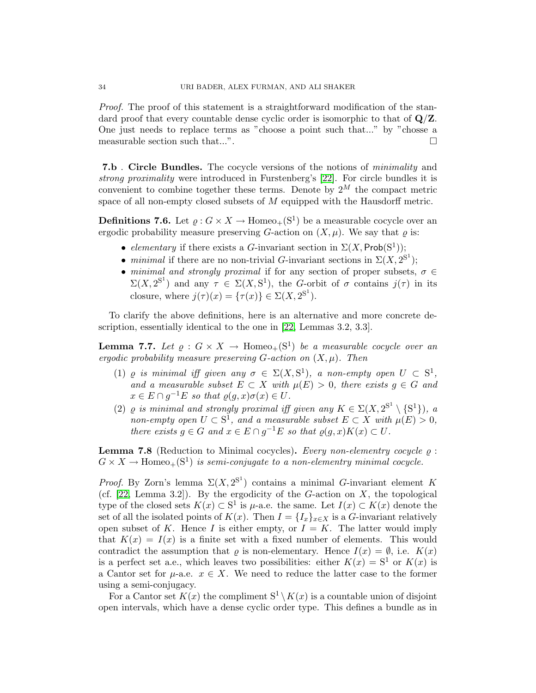Proof. The proof of this statement is a straightforward modification of the standard proof that every countable dense cyclic order is isomorphic to that of  $\mathbf{Q}/\mathbf{Z}$ . One just needs to replace terms as "choose a point such that..." by "chosse a measurable section such that...".  $\Box$ 

7.b . Circle Bundles. The cocycle versions of the notions of minimality and strong proximality were introduced in Furstenberg's [\[22\]](#page-36-24). For circle bundles it is convenient to combine together these terms. Denote by  $2^M$  the compact metric space of all non-empty closed subsets of  $M$  equipped with the Hausdorff metric.

<span id="page-33-0"></span>**Definitions 7.6.** Let  $\varrho$  :  $G \times X \to \text{Homeo}_+(\mathbb{S}^1)$  be a measurable cocycle over an ergodic probability measure preserving G-action on  $(X, \mu)$ . We say that  $\rho$  is:

- elementary if there exists a G-invariant section in  $\Sigma(X, \text{Prob}(S^1));$
- minimal if there are no non-trivial G-invariant sections in  $\Sigma(X, 2^{S^1})$ ;
- minimal and strongly proximal if for any section of proper subsets,  $\sigma \in$  $\Sigma(X, 2^{\mathbb{S}^1})$  and any  $\tau \in \Sigma(X, \mathbb{S}^1)$ , the G-orbit of  $\sigma$  contains  $j(\tau)$  in its closure, where  $j(\tau)(x) = {\tau(x)} \in \Sigma(X, 2^{\mathbb{S}^1})$ .

To clarify the above definitions, here is an alternative and more concrete de-scription, essentially identical to the one in [\[22,](#page-36-24) Lemmas 3.2, 3.3].

<span id="page-33-1"></span>**Lemma 7.7.** Let  $\varrho : G \times X \to \text{Homeo}_+(\mathbb{S}^1)$  be a measurable cocycle over an ergodic probability measure preserving G-action on  $(X, \mu)$ . Then

- (1)  $\varrho$  is minimal iff given any  $\sigma \in \Sigma(X, S^1)$ , a non-empty open  $U \subset S^1$ , and a measurable subset  $E \subset X$  with  $\mu(E) > 0$ , there exists  $g \in G$  and  $x \in E \cap g^{-1}E$  so that  $\varrho(g, x)\sigma(x) \in U$ .
- (2)  $\varrho$  is minimal and strongly proximal iff given any  $K \in \Sigma(X, 2^{S^1} \setminus \{S^1\})$ , a non-empty open  $U \subset S^1$ , and a measurable subset  $E \subset X$  with  $\mu(E) > 0$ , there exists  $g \in G$  and  $x \in E \cap g^{-1}E$  so that  $\varrho(g, x)K(x) \subset U$ .

<span id="page-33-2"></span>**Lemma 7.8** (Reduction to Minimal cocycles). Every non-elementry cocycle  $\varrho$ :  $G \times X \to \text{Homeo}_+(\mathbb{S}^1)$  is semi-conjugate to a non-elementry minimal cocycle.

*Proof.* By Zorn's lemma  $\Sigma(X, 2^{S^1})$  contains a minimal G-invariant element K (cf. [\[22,](#page-36-24) Lemma 3.2]). By the ergodicity of the G-action on  $X$ , the topological type of the closed sets  $K(x) \subset S^1$  is  $\mu$ -a.e. the same. Let  $I(x) \subset K(x)$  denote the set of all the isolated points of  $K(x)$ . Then  $I = \{I_x\}_{x \in X}$  is a G-invariant relatively open subset of K. Hence I is either empty, or  $I = K$ . The latter would imply that  $K(x) = I(x)$  is a finite set with a fixed number of elements. This would contradict the assumption that  $\varrho$  is non-elementary. Hence  $I(x) = \emptyset$ , i.e.  $K(x)$ is a perfect set a.e., which leaves two possibilities: either  $K(x) = S^1$  or  $K(x)$  is a Cantor set for  $\mu$ -a.e.  $x \in X$ . We need to reduce the latter case to the former using a semi-conjugacy.

For a Cantor set  $K(x)$  the compliment  $S^1 \setminus K(x)$  is a countable union of disjoint open intervals, which have a dense cyclic order type. This defines a bundle as in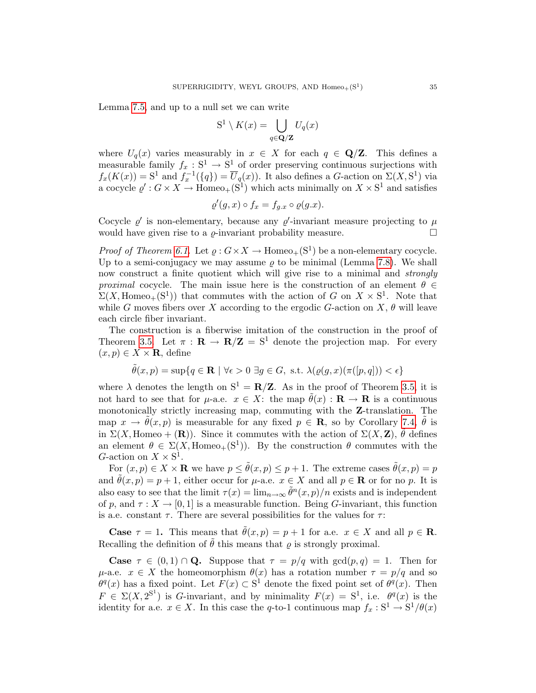Lemma [7.5,](#page-32-1) and up to a null set we can write

$$
S^1 \setminus K(x) = \bigcup_{q \in \mathbf{Q}/\mathbf{Z}} U_q(x)
$$

where  $U_q(x)$  varies measurably in  $x \in X$  for each  $q \in \mathbf{Q}/\mathbf{Z}$ . This defines a measurable family  $f_x: \mathbf{S}^1 \to \mathbf{S}^1$  of order preserving continuous surjections with  $f_x(K(x)) = S^1$  and  $f_x^{-1}(\lbrace q \rbrace) = \overline{U}_q(x)$ . It also defines a G-action on  $\Sigma(X, S^1)$  via a cocycle  $\varrho': G \times X \to \text{Homeo}_+(\mathbf{S}^1)$  which acts minimally on  $X \times \mathbf{S}^1$  and satisfies

$$
\varrho'(g,x)\circ f_x = f_{g.x} \circ \varrho(g.x).
$$

Cocycle  $\varrho'$  is non-elementary, because any  $\varrho'$ -invariant measure projecting to  $\mu$ would have given rise to a  $\rho$ -invariant probability measure.

*Proof of Theorem [6.1.](#page-27-2)* Let  $\varrho$  :  $G \times X \to \text{Homeo}_+(\mathbb{S}^1)$  be a non-elementary cocycle. Up to a semi-conjugacy we may assume  $\rho$  to be minimal (Lemma [7.8\)](#page-33-2). We shall now construct a finite quotient which will give rise to a minimal and strongly proximal cocycle. The main issue here is the construction of an element  $\theta \in$  $\Sigma(X, \text{Homeo}_+(\mathbf{S}^1))$  that commutes with the action of G on  $X \times \mathbf{S}^1$ . Note that while G moves fibers over X according to the ergodic G-action on X,  $\theta$  will leave each circle fiber invariant.

The construction is a fiberwise imitation of the construction in the proof of Theorem [3.5.](#page-17-0) Let  $\pi : \mathbf{R} \to \mathbf{R}/\mathbf{Z} = \mathbf{S}^1$  denote the projection map. For every  $(x, p) \in X \times \mathbf{R}$ , define

$$
\tilde{\theta}(x,p) = \sup\{q \in \mathbf{R} \mid \forall \epsilon > 0 \; \exists g \in G, \text{ s.t. } \lambda(\varrho(g,x)(\pi([p,q])) < \epsilon\}
$$

where  $\lambda$  denotes the length on  $S^1 = \mathbb{R}/\mathbb{Z}$ . As in the proof of Theorem [3.5,](#page-17-0) it is not hard to see that for  $\mu$ -a.e.  $x \in X$ : the map  $\hat{\theta}(x) : \mathbf{R} \to \mathbf{R}$  is a continuous monotonically strictly increasing map, commuting with the Z-translation. The map  $x \to \theta(x, p)$  is measurable for any fixed  $p \in \mathbf{R}$ , so by Corollary [7.4,](#page-32-2)  $\theta$  is in  $\Sigma(X, \text{Homeo} + (\mathbf{R}))$ . Since it commutes with the action of  $\Sigma(X, \mathbf{Z})$ ,  $\tilde{\theta}$  defines an element  $\theta \in \Sigma(X, \text{Homeo}_+(\mathbb{S}^1))$ . By the construction  $\theta$  commutes with the G-action on  $X \times S^1$ .

For  $(x, p) \in X \times \mathbf{R}$  we have  $p \leq \tilde{\theta}(x, p) \leq p + 1$ . The extreme cases  $\tilde{\theta}(x, p) = p$ and  $\tilde{\theta}(x, p) = p + 1$ , either occur for  $\mu$ -a.e.  $x \in X$  and all  $p \in \mathbf{R}$  or for no p. It is also easy to see that the limit  $\tau(x) = \lim_{n \to \infty} \tilde{\theta}^n(x, p)/n$  exists and is independent of p, and  $\tau : X \to [0, 1]$  is a measurable function. Being G-invariant, this function is a.e. constant  $\tau$ . There are several possibilities for the values for  $\tau$ :

**Case**  $\tau = 1$ . This means that  $\theta(x, p) = p + 1$  for a.e.  $x \in X$  and all  $p \in \mathbb{R}$ . Recalling the definition of  $\tilde{\theta}$  this means that  $\rho$  is strongly proximal.

**Case**  $\tau \in (0,1) \cap \mathbf{Q}$ . Suppose that  $\tau = p/q$  with  $gcd(p,q) = 1$ . Then for  $\mu$ -a.e.  $x \in X$  the homeomorphism  $\theta(x)$  has a rotation number  $\tau = p/q$  and so  $\theta^q(x)$  has a fixed point. Let  $F(x) \subset S^1$  denote the fixed point set of  $\theta^q(x)$ . Then  $F \in \Sigma(X, 2^{\mathbb{S}^1})$  is G-invariant, and by minimality  $F(x) = \mathbb{S}^1$ , i.e.  $\theta^q(x)$  is the identity for a.e.  $x \in X$ . In this case the q-to-1 continuous map  $f_x : S^1 \to S^1/\theta(x)$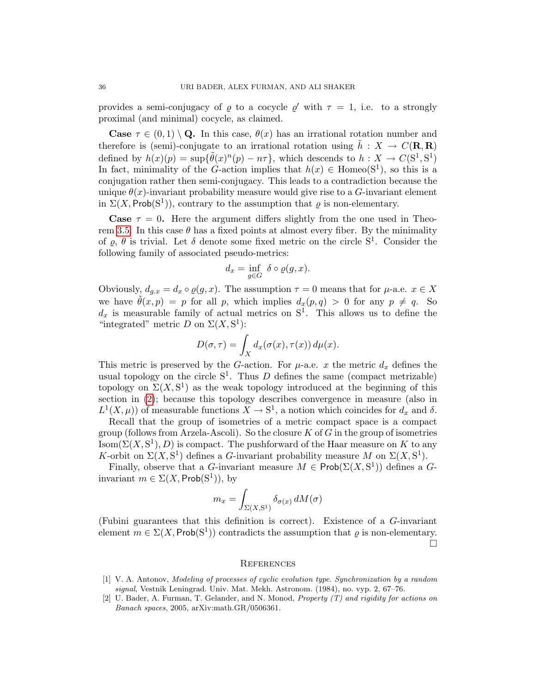provides a semi-conjugacy of  $\varrho$  to a cocycle  $\varrho'$  with  $\tau = 1$ , i.e. to a strongly proximal (and minimal) cocycle, as claimed.

**Case**  $\tau \in (0,1) \setminus \mathbf{Q}$ . In this case,  $\theta(x)$  has an irrational rotation number and therefore is (semi)-conjugate to an irrational rotation using  $\tilde{h}: X \to C(\mathbf{R}, \mathbf{R})$ defined by  $h(x)(p) = \sup{\{\tilde{\theta}(x)^n(p) - n\tau\}}$ , which descends to  $h: X \to C(S^1, S^1)$ In fact, minimality of the G-action implies that  $h(x) \in \text{Homeo}(S^1)$ , so this is a conjugation rather then semi-conjugacy. This leads to a contradiction because the unique  $\theta(x)$ -invariant probability measure would give rise to a G-invariant element in  $\Sigma(X, \text{Prob}(S^1))$ , contrary to the assumption that  $\varrho$  is non-elementary.

**Case**  $\tau = 0$ . Here the argument differs slightly from the one used in Theo-rem [3.5.](#page-17-0) In this case  $\theta$  has a fixed points at almost every fiber. By the minimality of  $\rho$ ,  $\theta$  is trivial. Let  $\delta$  denote some fixed metric on the circle S<sup>1</sup>. Consider the following family of associated pseudo-metrics:

$$
d_x = \inf_{g \in G} \delta \circ \varrho(g, x).
$$

Obviously,  $d_{q,x} = d_x \circ \varrho(g,x)$ . The assumption  $\tau = 0$  means that for  $\mu$ -a.e.  $x \in X$ we have  $\tilde{\theta}(x, p) = p$  for all p, which implies  $d_x(p, q) > 0$  for any  $p \neq q$ . So  $d_x$  is measurable family of actual metrics on  $S^1$ . This allows us to define the "integrated" metric  $D$  on  $\Sigma(X, S^1)$ :

$$
D(\sigma, \tau) = \int_X d_x(\sigma(x), \tau(x)) d\mu(x).
$$

This metric is preserved by the G-action. For  $\mu$ -a.e. x the metric  $d_x$  defines the usual topology on the circle  $S^1$ . Thus D defines the same (compact metrizable) topology on  $\Sigma(X, S^1)$  as the weak topology introduced at the beginning of this section in [\(2\)](#page-32-3); because this topology describes convergence in measure (also in  $L^1(X,\mu)$  of measurable functions  $X \to \mathbb{S}^1$ , a notion which coincides for  $d_x$  and  $\delta$ .

Recall that the group of isometries of a metric compact space is a compact group (follows from Arzela-Ascoli). So the closure  $K$  of  $G$  in the group of isometries Isom( $\Sigma(X, S^1), D$ ) is compact. The pushforward of the Haar measure on K to any K-orbit on  $\Sigma(X, S^1)$  defines a G-invariant probability measure M on  $\Sigma(X, S^1)$ .

Finally, observe that a G-invariant measure  $M \in \mathsf{Prob}(\Sigma(X, S^1))$  defines a Ginvariant  $m \in \Sigma(X, \mathsf{Prob}(S^1)),$  by

$$
m_x = \int_{\Sigma(X,\mathbf{S}^1)} \delta_{\sigma(x)} dM(\sigma)
$$

(Fubini guarantees that this definition is correct). Existence of a G-invariant element  $m \in \Sigma(X, \text{Prob}(S^1))$  contradicts the assumption that  $\varrho$  is non-elementary.  $\Box$ 

#### **REFERENCES**

- <span id="page-35-1"></span>[1] V. A. Antonov, Modeling of processes of cyclic evolution type. Synchronization by a random signal, Vestnik Leningrad. Univ. Mat. Mekh. Astronom. (1984), no. vyp. 2, 67–76.
- <span id="page-35-0"></span>[2] U. Bader, A. Furman, T. Gelander, and N. Monod, Property (T) and rigidity for actions on Banach spaces, 2005, arXiv:math.GR/0506361.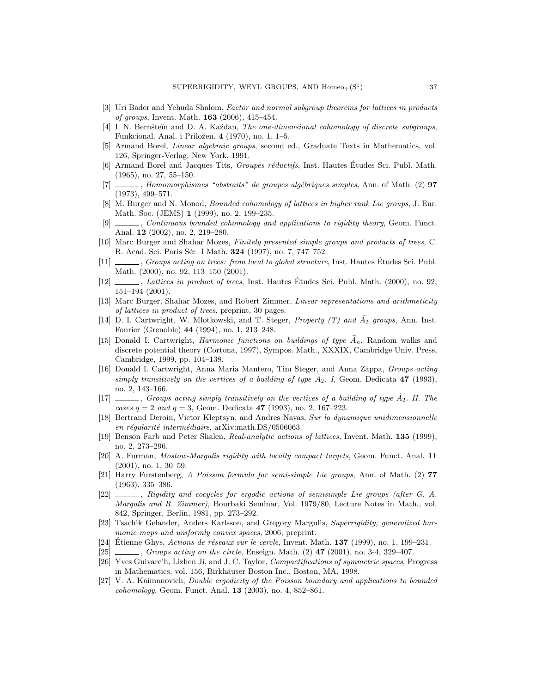- <span id="page-36-9"></span>[3] Uri Bader and Yehuda Shalom, Factor and normal subgroup theorems for lattices in products of groups, Invent. Math. 163 (2006), 415–454.
- <span id="page-36-4"></span>[4] I. N. Bernšteĭn and D. A. Každan, *The one-dimensional cohomology of discrete subgroups*, Funkcional. Anal. i Priložen. 4 (1970), no. 1, 1–5.
- <span id="page-36-20"></span>[5] Armand Borel, Linear algebraic groups, second ed., Graduate Texts in Mathematics, vol. 126, Springer-Verlag, New York, 1991.
- <span id="page-36-15"></span>[6] Armand Borel and Jacques Tits, *Groupes réductifs*, Inst. Hautes Etudes Sci. Publ. Math. (1965), no. 27, 55–150.
- <span id="page-36-16"></span> $[7]$  , Homomorphismes "abstraits" de groupes algébriques simples, Ann. of Math. (2) 97 (1973), 499–571.
- <span id="page-36-1"></span>[8] M. Burger and N. Monod, Bounded cohomology of lattices in higher rank Lie groups, J. Eur. Math. Soc. (JEMS) 1 (1999), no. 2, 199–235.
- <span id="page-36-2"></span> $[9]$  , Continuous bounded cohomology and applications to rigidity theory, Geom. Funct. Anal. 12 (2002), no. 2, 219–280.
- <span id="page-36-7"></span>[10] Marc Burger and Shahar Mozes, Finitely presented simple groups and products of trees, C. R. Acad. Sci. Paris Sér. I Math. **324** (1997), no. 7, 747–752.
- <span id="page-36-6"></span>[11] , Groups acting on trees: from local to global structure, Inst. Hautes Etudes Sci. Publ. Math. (2000), no. 92, 113–150 (2001).
- <span id="page-36-5"></span>[12] , Lattices in product of trees, Inst. Hautes Études Sci. Publ. Math. (2000), no. 92, 151–194 (2001).
- <span id="page-36-8"></span>[13] Marc Burger, Shahar Mozes, and Robert Zimmer, Linear representations and arithmeticity of lattices in product of trees, preprint, 30 pages.
- <span id="page-36-13"></span>[14] D. I. Cartwright, W. Młotkowski, and T. Steger, Property  $(T)$  and  $A_2$  groups, Ann. Inst. Fourier (Grenoble) 44 (1994), no. 1, 213–248.
- <span id="page-36-19"></span>[15] Donald I. Cartwright, *Harmonic functions on buildings of type*  $A_n$ , Random walks and discrete potential theory (Cortona, 1997), Sympos. Math., XXXIX, Cambridge Univ. Press, Cambridge, 1999, pp. 104–138.
- <span id="page-36-11"></span>[16] Donald I. Cartwright, Anna Maria Mantero, Tim Steger, and Anna Zappa, Groups acting simply transitively on the vertices of a building of type  $\tilde{A}_2$ . I, Geom. Dedicata 47 (1993), no. 2, 143–166.
- <span id="page-36-12"></span> $[17]$  , Groups acting simply transitively on the vertices of a building of type  $\tilde{A}_2$ . II. The cases  $q = 2$  and  $q = 3$ , Geom. Dedicate 47 (1993), no. 2, 167–223.
- <span id="page-36-22"></span>[18] Bertrand Deroin, Victor Kleptsyn, and Andres Navas, Sur la dynamique unidimensionnelle en régularité intermédiaire, arXiv:math.DS/0506063.
- <span id="page-36-3"></span>[19] Benson Farb and Peter Shalen, Real-analytic actions of lattices, Invent. Math. 135 (1999), no. 2, 273–296.
- <span id="page-36-23"></span>[20] A. Furman, Mostow-Margulis rigidity with locally compact targets, Geom. Funct. Anal. 11 (2001), no. 1, 30–59.
- <span id="page-36-17"></span>[21] Harry Furstenberg, A Poisson formula for semi-simple Lie groups, Ann. of Math. (2) 77 (1963), 335–386.
- <span id="page-36-24"></span>[22]  $\qquad \qquad$ , Rigidity and cocycles for ergodic actions of semisimple Lie groups (after G. A. Margulis and R. Zimmer), Bourbaki Seminar, Vol. 1979/80, Lecture Notes in Math., vol. 842, Springer, Berlin, 1981, pp. 273–292.
- <span id="page-36-10"></span>[23] Tsachik Gelander, Anders Karlsson, and Gregory Margulis, Superrigidity, generalized harmonic maps and uniformly convex spaces, 2006, preprint.
- <span id="page-36-0"></span> $[24]$  Étienne Ghys, Actions de réseaux sur le cercle, Invent. Math. **137** (1999), no. 1, 199–231.
- <span id="page-36-21"></span>[25] , Groups acting on the circle, Enseign. Math. (2) **47** (2001), no. 3-4, 329–407.
- <span id="page-36-18"></span>[26] Yves Guivarc'h, Lizhen Ji, and J. C. Taylor, Compactifications of symmetric spaces, Progress in Mathematics, vol. 156, Birkhäuser Boston Inc., Boston, MA, 1998.
- <span id="page-36-14"></span>[27] V. A. Kaimanovich, Double ergodicity of the Poisson boundary and applications to bounded cohomology, Geom. Funct. Anal. 13 (2003), no. 4, 852–861.